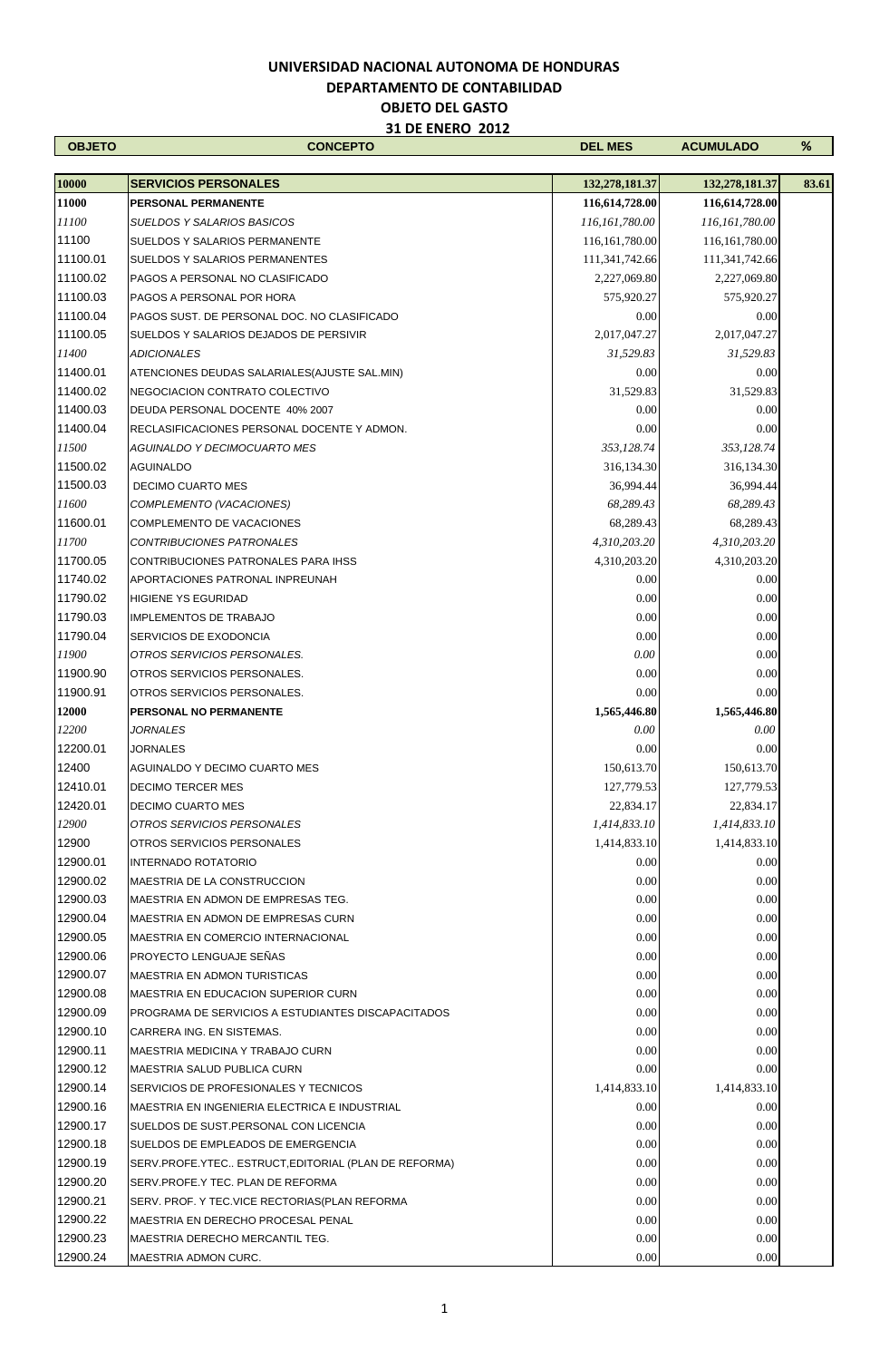| <b>OBJETO</b> | <b>CONCEPTO</b>                                      | <b>DEL MES</b>   | <b>ACUMULADO</b> | %     |
|---------------|------------------------------------------------------|------------------|------------------|-------|
|               |                                                      |                  |                  |       |
| 10000         | <b>SERVICIOS PERSONALES</b>                          | 132,278,181.37   | 132,278,181.37   | 83.61 |
| 11000         | PERSONAL PERMANENTE                                  | 116,614,728.00   | 116,614,728.00   |       |
| 11100         | <b>SUELDOS Y SALARIOS BASICOS</b>                    | 116, 161, 780.00 | 116, 161, 780.00 |       |
| 11100         | <b>SUELDOS Y SALARIOS PERMANENTE</b>                 | 116, 161, 780.00 | 116, 161, 780.00 |       |
| 11100.01      | <b>SUELDOS Y SALARIOS PERMANENTES</b>                | 111,341,742.66   | 111,341,742.66   |       |
| 11100.02      | PAGOS A PERSONAL NO CLASIFICADO                      | 2,227,069.80     | 2,227,069.80     |       |
| 11100.03      | PAGOS A PERSONAL POR HORA                            | 575,920.27       | 575,920.27       |       |
| 11100.04      | PAGOS SUST. DE PERSONAL DOC. NO CLASIFICADO          | 0.00             | 0.00             |       |
| 11100.05      | SUELDOS Y SALARIOS DEJADOS DE PERSIVIR               | 2,017,047.27     | 2,017,047.27     |       |
| 11400         | <b>ADICIONALES</b>                                   | 31,529.83        | 31,529.83        |       |
| 11400.01      | ATENCIONES DEUDAS SALARIALES (AJUSTE SAL.MIN)        | 0.00             | 0.00             |       |
| 11400.02      | NEGOCIACION CONTRATO COLECTIVO                       | 31,529.83        | 31,529.83        |       |
| 11400.03      | DEUDA PERSONAL DOCENTE 40% 2007                      | 0.00             | 0.00             |       |
| 11400.04      | RECLASIFICACIONES PERSONAL DOCENTE Y ADMON.          | 0.00             | 0.00             |       |
| 11500         | <b>AGUINALDO Y DECIMOCUARTO MES</b>                  | 353,128.74       | 353,128.74       |       |
| 11500.02      | <b>AGUINALDO</b>                                     | 316,134.30       | 316, 134. 30     |       |
| 11500.03      | DECIMO CUARTO MES                                    | 36,994.44        | 36,994.44        |       |
| 11600         | COMPLEMENTO (VACACIONES)                             | 68,289.43        | 68,289.43        |       |
| 11600.01      | COMPLEMENTO DE VACACIONES                            | 68,289.43        | 68,289.43        |       |
| 11700         | CONTRIBUCIONES PATRONALES                            | 4,310,203.20     | 4,310,203.20     |       |
| 11700.05      | CONTRIBUCIONES PATRONALES PARA IHSS                  | 4,310,203.20     | 4,310,203.20     |       |
| 11740.02      | APORTACIONES PATRONAL INPREUNAH                      | 0.00             | 0.00             |       |
| 11790.02      | <b>HIGIENE YS EGURIDAD</b>                           | 0.00             | 0.00             |       |
| 11790.03      | <b>IMPLEMENTOS DE TRABAJO</b>                        | 0.00             | 0.00             |       |
| 11790.04      | SERVICIOS DE EXODONCIA                               | 0.00             | 0.00             |       |
| 11900         | OTROS SERVICIOS PERSONALES.                          | 0.00             | 0.00             |       |
| 11900.90      | OTROS SERVICIOS PERSONALES.                          | 0.00             | 0.00             |       |
| 11900.91      | OTROS SERVICIOS PERSONALES.                          | 0.00             | 0.00             |       |
| 12000         | PERSONAL NO PERMANENTE                               | 1,565,446.80     | 1,565,446.80     |       |
| 12200         | <b>JORNALES</b>                                      | 0.00             | 0.00             |       |
| 12200.01      | JORNALES                                             | 0.00             | 0.00             |       |
| 12400         | AGUINALDO Y DECIMO CUARTO MES                        | 150,613.70       | 150,613.70       |       |
| 12410.01      | <b>DECIMO TERCER MES</b>                             | 127,779.53       | 127,779.53       |       |
| 12420.01      | <b>DECIMO CUARTO MES</b>                             | 22,834.17        | 22,834.17        |       |
| 12900         | OTROS SERVICIOS PERSONALES                           | 1,414,833.10     | 1,414,833.10     |       |
| 12900         | OTROS SERVICIOS PERSONALES                           | 1,414,833.10     | 1,414,833.10     |       |
| 12900.01      | INTERNADO ROTATORIO                                  | 0.00             | 0.00             |       |
| 12900.02      | MAESTRIA DE LA CONSTRUCCION                          | 0.00             | 0.00             |       |
| 12900.03      | MAESTRIA EN ADMON DE EMPRESAS TEG.                   | 0.00             | 0.00             |       |
| 12900.04      | MAESTRIA EN ADMON DE EMPRESAS CURN                   | 0.00             | 0.00             |       |
| 12900.05      | MAESTRIA EN COMERCIO INTERNACIONAL                   | 0.00             | 0.00             |       |
| 12900.06      | PROYECTO LENGUAJE SEÑAS                              | 0.00             | 0.00             |       |
| 12900.07      | <b>MAESTRIA EN ADMON TURISTICAS</b>                  | 0.00             | 0.00             |       |
| 12900.08      | <b>MAESTRIA EN EDUCACION SUPERIOR CURN</b>           | 0.00             | 0.00             |       |
| 12900.09      | PROGRAMA DE SERVICIOS A ESTUDIANTES DISCAPACITADOS   | 0.00             | 0.00             |       |
| 12900.10      | CARRERA ING. EN SISTEMAS.                            | 0.00             | 0.00             |       |
| 12900.11      | MAESTRIA MEDICINA Y TRABAJO CURN                     | 0.00             | 0.00             |       |
| 12900.12      | MAESTRIA SALUD PUBLICA CURN                          | 0.00             | 0.00             |       |
| 12900.14      | SERVICIOS DE PROFESIONALES Y TECNICOS                | 1,414,833.10     | 1,414,833.10     |       |
| 12900.16      | MAESTRIA EN INGENIERIA ELECTRICA E INDUSTRIAL        | 0.00             | 0.00             |       |
| 12900.17      | SUELDOS DE SUST PERSONAL CON LICENCIA                | 0.00             | 0.00             |       |
| 12900.18      | SUELDOS DE EMPLEADOS DE EMERGENCIA                   | 0.00             | 0.00             |       |
| 12900.19      | SERV.PROFE.YTEC ESTRUCT, EDITORIAL (PLAN DE REFORMA) | 0.00             | 0.00             |       |
| 12900.20      | SERV.PROFE.Y TEC. PLAN DE REFORMA                    | 0.00             | 0.00             |       |
| 12900.21      | SERV. PROF. Y TEC. VICE RECTORIAS (PLAN REFORMA      | 0.00             | 0.00             |       |
| 12900.22      | MAESTRIA EN DERECHO PROCESAL PENAL                   | 0.00             | 0.00             |       |
| 12900.23      | MAESTRIA DERECHO MERCANTIL TEG.                      | 0.00             | 0.00             |       |
| 12900.24      | MAESTRIA ADMON CURC.                                 | 0.00             | 0.00             |       |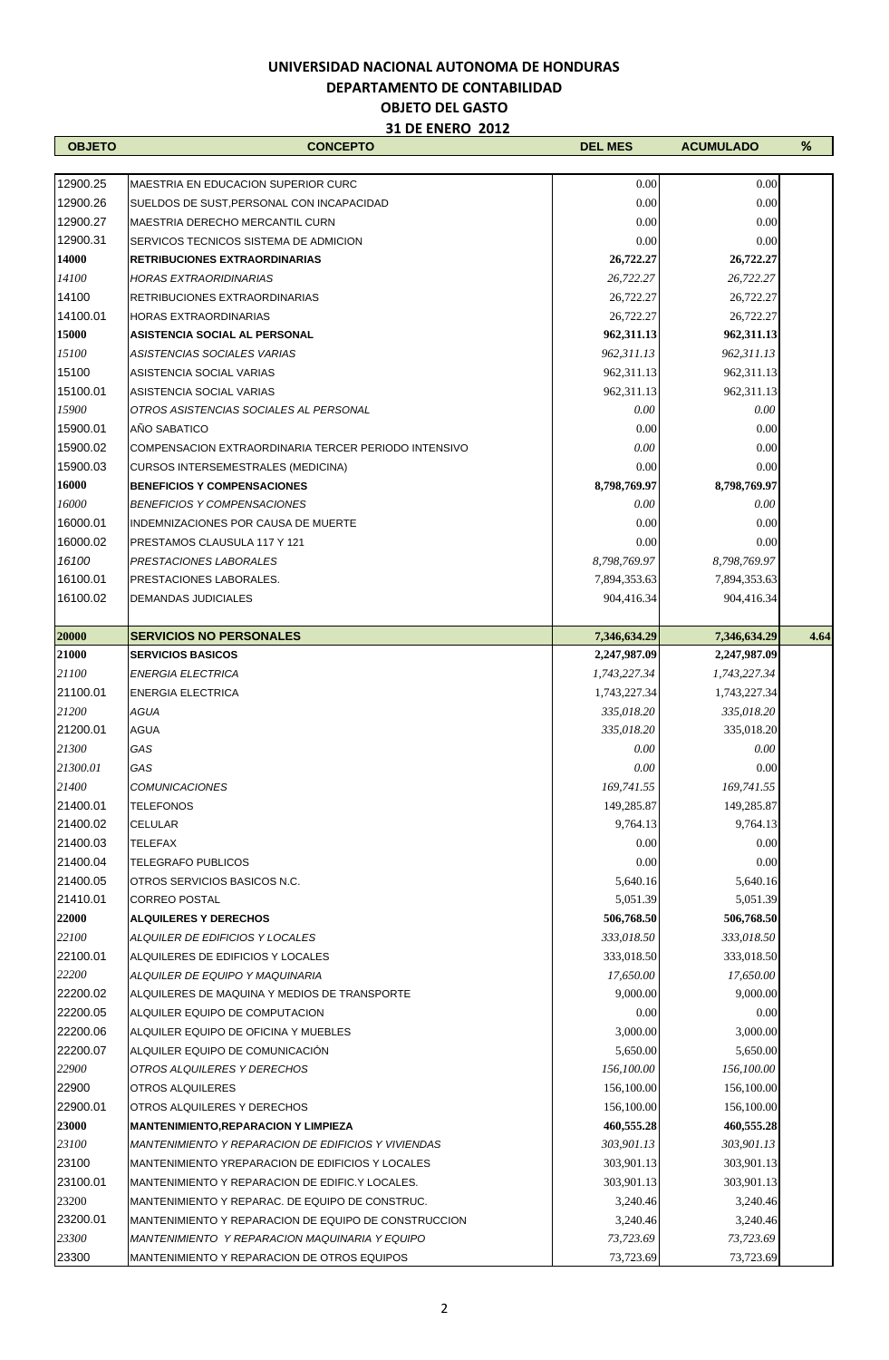| <b>OBJETO</b>  | <b>CONCEPTO</b>                                                            | <b>DEL MES</b>           | <b>ACUMULADO</b>         | %    |
|----------------|----------------------------------------------------------------------------|--------------------------|--------------------------|------|
|                |                                                                            |                          |                          |      |
| 12900.25       | MAESTRIA EN EDUCACION SUPERIOR CURC                                        | 0.00                     | 0.00                     |      |
| 12900.26       | SUELDOS DE SUST, PERSONAL CON INCAPACIDAD                                  | 0.00                     | 0.00                     |      |
| 12900.27       | <b>MAESTRIA DERECHO MERCANTIL CURN</b>                                     | 0.00                     | 0.00                     |      |
| 12900.31       | SERVICOS TECNICOS SISTEMA DE ADMICION                                      | 0.00                     | 0.00                     |      |
| 14000          | <b>RETRIBUCIONES EXTRAORDINARIAS</b>                                       | 26,722.27                | 26,722.27                |      |
| 14100          | <b>HORAS EXTRAORIDINARIAS</b>                                              | 26,722.27                | 26,722.27                |      |
| 14100          | RETRIBUCIONES EXTRAORDINARIAS                                              | 26,722.27                | 26,722.27                |      |
| 14100.01       | <b>HORAS EXTRAORDINARIAS</b>                                               | 26,722.27                | 26,722.27                |      |
| 15000          | <b>ASISTENCIA SOCIAL AL PERSONAL</b>                                       | 962,311.13               | 962,311.13               |      |
| 15100          | ASISTENCIAS SOCIALES VARIAS                                                | 962,311.13               | 962,311.13               |      |
| 15100          | ASISTENCIA SOCIAL VARIAS                                                   | 962,311.13               | 962,311.13               |      |
| 15100.01       | ASISTENCIA SOCIAL VARIAS                                                   | 962,311.13               | 962,311.13               |      |
| 15900          | OTROS ASISTENCIAS SOCIALES AL PERSONAL                                     | 0.00                     | 0.00                     |      |
| 15900.01       | AÑO SABATICO                                                               | 0.00                     | 0.00                     |      |
| 15900.02       | COMPENSACION EXTRAORDINARIA TERCER PERIODO INTENSIVO                       | 0.00                     | 0.00                     |      |
| 15900.03       | <b>CURSOS INTERSEMESTRALES (MEDICINA)</b>                                  | 0.00                     | 0.00                     |      |
| 16000          | <b>BENEFICIOS Y COMPENSACIONES</b>                                         | 8,798,769.97             | 8,798,769.97             |      |
| 16000          | <b>BENEFICIOS Y COMPENSACIONES</b>                                         | 0.00                     | 0.00                     |      |
| 16000.01       | INDEMNIZACIONES POR CAUSA DE MUERTE                                        | 0.00                     | 0.00                     |      |
| 16000.02       | PRESTAMOS CLAUSULA 117 Y 121                                               | 0.00                     | 0.00                     |      |
| 16100          | PRESTACIONES LABORALES                                                     | 8,798,769.97             | 8,798,769.97             |      |
| 16100.01       | PRESTACIONES LABORALES.                                                    | 7,894,353.63             | 7,894,353.63             |      |
| 16100.02       | <b>DEMANDAS JUDICIALES</b>                                                 | 904,416.34               | 904,416.34               |      |
| 20000          | <b>SERVICIOS NO PERSONALES</b>                                             | 7,346,634.29             | 7,346,634.29             | 4.64 |
| 21000          | <b>SERVICIOS BASICOS</b>                                                   | 2,247,987.09             | 2,247,987.09             |      |
| 21100          | <b>ENERGIA ELECTRICA</b>                                                   | 1,743,227.34             | 1,743,227.34             |      |
| 21100.01       | <b>ENERGIA ELECTRICA</b>                                                   | 1,743,227.34             | 1,743,227.34             |      |
| 21200          | AGUA                                                                       | 335,018.20               | 335,018.20               |      |
| 21200.01       | <b>AGUA</b>                                                                | 335,018.20               | 335,018.20               |      |
| 21300          | GAS                                                                        | 0.00                     | 0.00                     |      |
| 21300.01       | GAS                                                                        | 0.00                     | 0.00                     |      |
| 21400          | <b>COMUNICACIONES</b>                                                      | 169,741.55               | 169,741.55               |      |
| 21400.01       | TELEFONOS                                                                  | 149,285.87               | 149,285.87               |      |
| 21400.02       | CELULAR                                                                    | 9,764.13                 | 9,764.13                 |      |
| 21400.03       | <b>TELEFAX</b>                                                             | 0.00                     | 0.00                     |      |
| 21400.04       | <b>TELEGRAFO PUBLICOS</b>                                                  | 0.00                     | 0.00                     |      |
| 21400.05       | OTROS SERVICIOS BASICOS N.C.                                               | 5,640.16                 | 5,640.16                 |      |
| 21410.01       | <b>CORREO POSTAL</b>                                                       | 5,051.39                 | 5,051.39                 |      |
| 22000          | <b>ALQUILERES Y DERECHOS</b>                                               | 506,768.50               | 506,768.50               |      |
| 22100          | ALQUILER DE EDIFICIOS Y LOCALES                                            | 333,018.50               | 333,018.50               |      |
| 22100.01       | ALQUILERES DE EDIFICIOS Y LOCALES                                          | 333,018.50               | 333,018.50               |      |
| 22200          | ALQUILER DE EQUIPO Y MAQUINARIA                                            | 17,650.00                | 17,650.00                |      |
| 22200.02       | ALQUILERES DE MAQUINA Y MEDIOS DE TRANSPORTE                               | 9,000.00                 | 9,000.00                 |      |
| 22200.05       | ALQUILER EQUIPO DE COMPUTACION                                             | 0.00                     | 0.00                     |      |
| 22200.06       | ALQUILER EQUIPO DE OFICINA Y MUEBLES                                       | 3,000.00                 | 3,000.00                 |      |
| 22200.07       | ALQUILER EQUIPO DE COMUNICACIÓN                                            | 5,650.00                 | 5,650.00                 |      |
| 22900<br>22900 | OTROS ALQUILERES Y DERECHOS                                                | 156,100.00               | 156,100.00               |      |
| 22900.01       | OTROS ALQUILERES                                                           | 156,100.00               | 156,100.00               |      |
| 23000          | OTROS ALQUILERES Y DERECHOS<br><b>MANTENIMIENTO, REPARACION Y LIMPIEZA</b> | 156,100.00<br>460,555.28 | 156,100.00<br>460,555.28 |      |
| 23100          | MANTENIMIENTO Y REPARACION DE EDIFICIOS Y VIVIENDAS                        | 303,901.13               | 303,901.13               |      |
| 23100          | MANTENIMIENTO YREPARACION DE EDIFICIOS Y LOCALES                           | 303,901.13               | 303,901.13               |      |
| 23100.01       | MANTENIMIENTO Y REPARACION DE EDIFIC.Y LOCALES.                            | 303,901.13               | 303,901.13               |      |
| 23200          | MANTENIMIENTO Y REPARAC. DE EQUIPO DE CONSTRUC.                            | 3,240.46                 | 3,240.46                 |      |
| 23200.01       | MANTENIMIENTO Y REPARACION DE EQUIPO DE CONSTRUCCION                       | 3,240.46                 | 3,240.46                 |      |
| 23300          | MANTENIMIENTO Y REPARACION MAQUINARIA Y EQUIPO                             | 73,723.69                | 73,723.69                |      |
| 23300          | MANTENIMIENTO Y REPARACION DE OTROS EQUIPOS                                | 73,723.69                | 73,723.69                |      |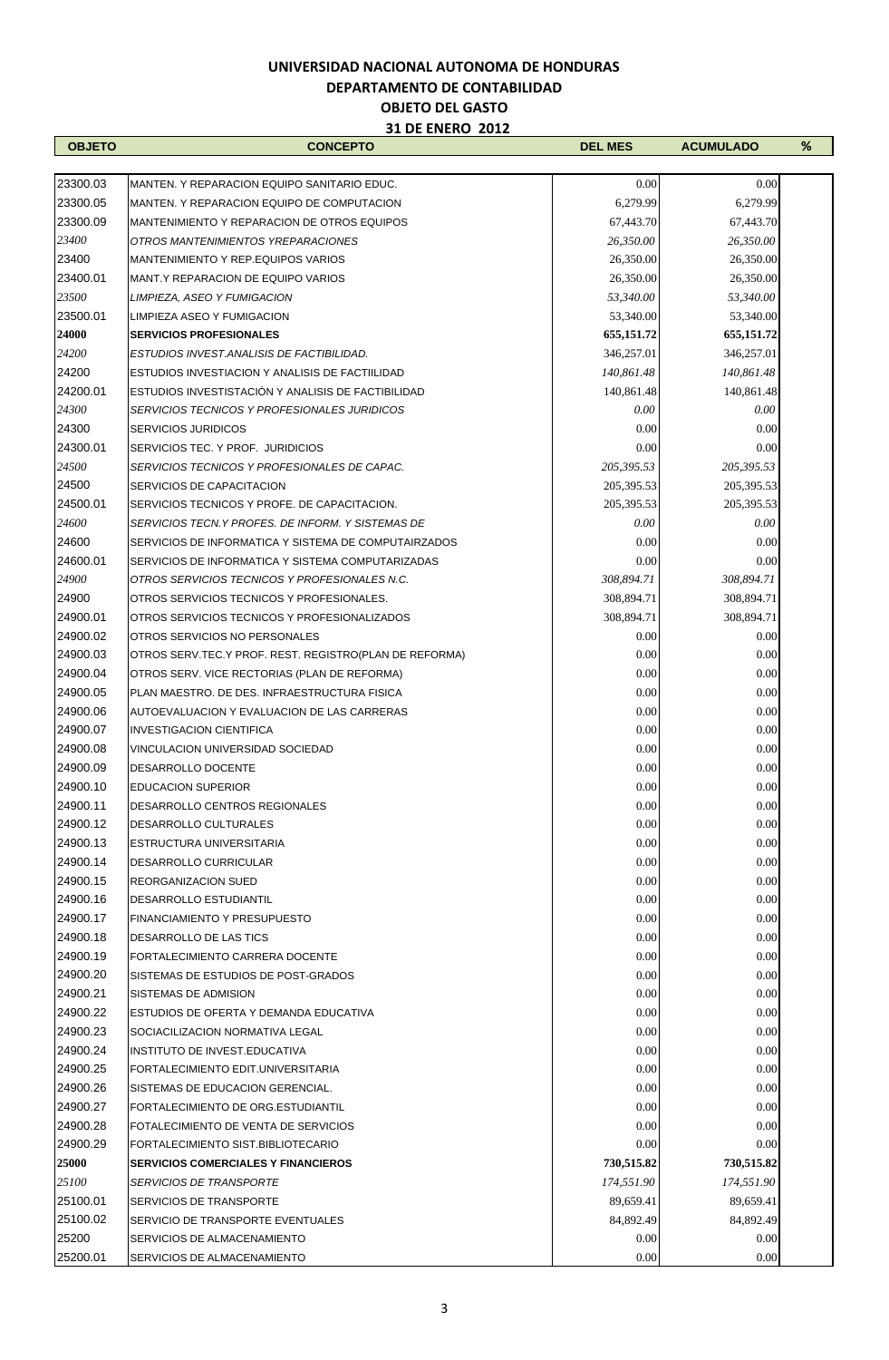| <b>OBJETO</b> | <b>CONCEPTO</b>                                           | <b>DEL MES</b> | <b>ACUMULADO</b> | ℅ |
|---------------|-----------------------------------------------------------|----------------|------------------|---|
|               |                                                           |                |                  |   |
| 23300.03      | MANTEN. Y REPARACION EQUIPO SANITARIO EDUC.               | 0.00           | 0.00             |   |
| 23300.05      | MANTEN. Y REPARACION EQUIPO DE COMPUTACION                | 6,279.99       | 6,279.99         |   |
| 23300.09      | MANTENIMIENTO Y REPARACION DE OTROS EQUIPOS               | 67,443.70      | 67,443.70        |   |
| 23400         | OTROS MANTENIMIENTOS YREPARACIONES                        | 26,350.00      | 26,350.00        |   |
| 23400         | MANTENIMIENTO Y REP.EQUIPOS VARIOS                        | 26,350.00      | 26,350.00        |   |
| 23400.01      | MANT Y REPARACION DE EQUIPO VARIOS                        | 26,350.00      | 26,350.00        |   |
| 23500         | LIMPIEZA, ASEO Y FUMIGACION                               | 53,340.00      | 53,340.00        |   |
| 23500.01      | LIMPIEZA ASEO Y FUMIGACION                                | 53,340.00      | 53,340.00        |   |
| 24000         | <b>SERVICIOS PROFESIONALES</b>                            | 655,151.72     | 655, 151.72      |   |
| 24200         | ESTUDIOS INVEST. ANALISIS DE FACTIBILIDAD.                | 346,257.01     | 346,257.01       |   |
| 24200         | ESTUDIOS INVESTIACION Y ANALISIS DE FACTIILIDAD           | 140,861.48     | 140,861.48       |   |
|               |                                                           |                |                  |   |
| 24200.01      | ESTUDIOS INVESTISTACIÓN Y ANALISIS DE FACTIBILIDAD        | 140,861.48     | 140,861.48       |   |
| 24300         | SERVICIOS TECNICOS Y PROFESIONALES JURIDICOS              | 0.00           | 0.00             |   |
| 24300         | <b>SERVICIOS JURIDICOS</b>                                | 0.00           | 0.00             |   |
| 24300.01      | SERVICIOS TEC. Y PROF. JURIDICIOS                         | 0.00           | 0.00             |   |
| 24500         | SERVICIOS TECNICOS Y PROFESIONALES DE CAPAC.              | 205.395.53     | 205,395.53       |   |
| 24500         | SERVICIOS DE CAPACITACION                                 | 205,395.53     | 205,395.53       |   |
| 24500.01      | SERVICIOS TECNICOS Y PROFE. DE CAPACITACION.              | 205, 395.53    | 205,395.53       |   |
| 24600         | SERVICIOS TECN.Y PROFES, DE INFORM, Y SISTEMAS DE         | 0.00           | 0.00             |   |
| 24600         | SERVICIOS DE INFORMATICA Y SISTEMA DE COMPUTAIRZADOS      | 0.00           | 0.00             |   |
| 24600.01      | SERVICIOS DE INFORMATICA Y SISTEMA COMPUTARIZADAS         | 0.00           | 0.00             |   |
| 24900         | OTROS SERVICIOS TECNICOS Y PROFESIONALES N.C.             | 308,894.71     | 308,894.71       |   |
| 24900         | OTROS SERVICIOS TECNICOS Y PROFESIONALES.                 | 308,894.71     | 308,894.71       |   |
| 24900.01      | OTROS SERVICIOS TECNICOS Y PROFESIONALIZADOS              | 308,894.71     | 308,894.71       |   |
| 24900.02      | OTROS SERVICIOS NO PERSONALES                             | 0.00           | 0.00             |   |
| 24900.03      | OTROS SERV. TEC. Y PROF. REST. REGISTRO (PLAN DE REFORMA) | 0.00           | 0.00             |   |
| 24900.04      | OTROS SERV. VICE RECTORIAS (PLAN DE REFORMA)              | 0.00           | 0.00             |   |
| 24900.05      | PLAN MAESTRO. DE DES. INFRAESTRUCTURA FISICA              | 0.00           | 0.00             |   |
| 24900.06      | AUTOEVALUACION Y EVALUACION DE LAS CARRERAS               | 0.00           | 0.00             |   |
| 24900.07      | <b>INVESTIGACION CIENTIFICA</b>                           | 0.00           | 0.00             |   |
| 24900.08      | VINCULACION UNIVERSIDAD SOCIEDAD                          | 0.00           | 0.00             |   |
| 24900.09      | DESARROLLO DOCENTE                                        | 0.00           | 0.00             |   |
| 24900.10      | <b>EDUCACION SUPERIOR</b>                                 | 0.00           | 0.00             |   |
| 24900.11      | DESARROLLO CENTROS REGIONALES                             | 0.00           | 0.00             |   |
| 24900.12      | DESARROLLO CULTURALES                                     | 0.00           | 0.00             |   |
| 24900.13      | ESTRUCTURA UNIVERSITARIA                                  | 0.00           | 0.00             |   |
| 24900.14      |                                                           | 0.00           | 0.00             |   |
| 24900.15      | DESARROLLO CURRICULAR                                     | 0.00           |                  |   |
|               | <b>REORGANIZACION SUED</b>                                |                | 0.00             |   |
| 24900.16      | <b>DESARROLLO ESTUDIANTIL</b>                             | 0.00           | 0.00             |   |
| 24900.17      | <b>FINANCIAMIENTO Y PRESUPUESTO</b>                       | 0.00           | 0.00             |   |
| 24900.18      | DESARROLLO DE LAS TICS                                    | 0.00           | 0.00             |   |
| 24900.19      | FORTALECIMIENTO CARRERA DOCENTE                           | 0.00           | 0.00             |   |
| 24900.20      | SISTEMAS DE ESTUDIOS DE POST-GRADOS                       | 0.00           | 0.00             |   |
| 24900.21      | SISTEMAS DE ADMISION                                      | 0.00           | 0.00             |   |
| 24900.22      | ESTUDIOS DE OFERTA Y DEMANDA EDUCATIVA                    | 0.00           | 0.00             |   |
| 24900.23      | SOCIACILIZACION NORMATIVA LEGAL                           | 0.00           | 0.00             |   |
| 24900.24      | INSTITUTO DE INVEST.EDUCATIVA                             | 0.00           | 0.00             |   |
| 24900.25      | FORTALECIMIENTO EDIT.UNIVERSITARIA                        | 0.00           | 0.00             |   |
| 24900.26      | SISTEMAS DE EDUCACION GERENCIAL.                          | 0.00           | 0.00             |   |
| 24900.27      | FORTALECIMIENTO DE ORG.ESTUDIANTIL                        | 0.00           | 0.00             |   |
| 24900.28      | FOTALECIMIENTO DE VENTA DE SERVICIOS                      | 0.00           | 0.00             |   |
| 24900.29      | FORTALECIMIENTO SIST.BIBLIOTECARIO                        | 0.00           | 0.00             |   |
| 25000         | <b>SERVICIOS COMERCIALES Y FINANCIEROS</b>                | 730,515.82     | 730,515.82       |   |
| 25100         | <b>SERVICIOS DE TRANSPORTE</b>                            | 174,551.90     | 174,551.90       |   |
| 25100.01      | <b>SERVICIOS DE TRANSPORTE</b>                            | 89,659.41      | 89,659.41        |   |
| 25100.02      | SERVICIO DE TRANSPORTE EVENTUALES                         | 84,892.49      | 84,892.49        |   |
| 25200         | SERVICIOS DE ALMACENAMIENTO                               | 0.00           | 0.00             |   |
| 25200.01      | SERVICIOS DE ALMACENAMIENTO                               | 0.00           | 0.00             |   |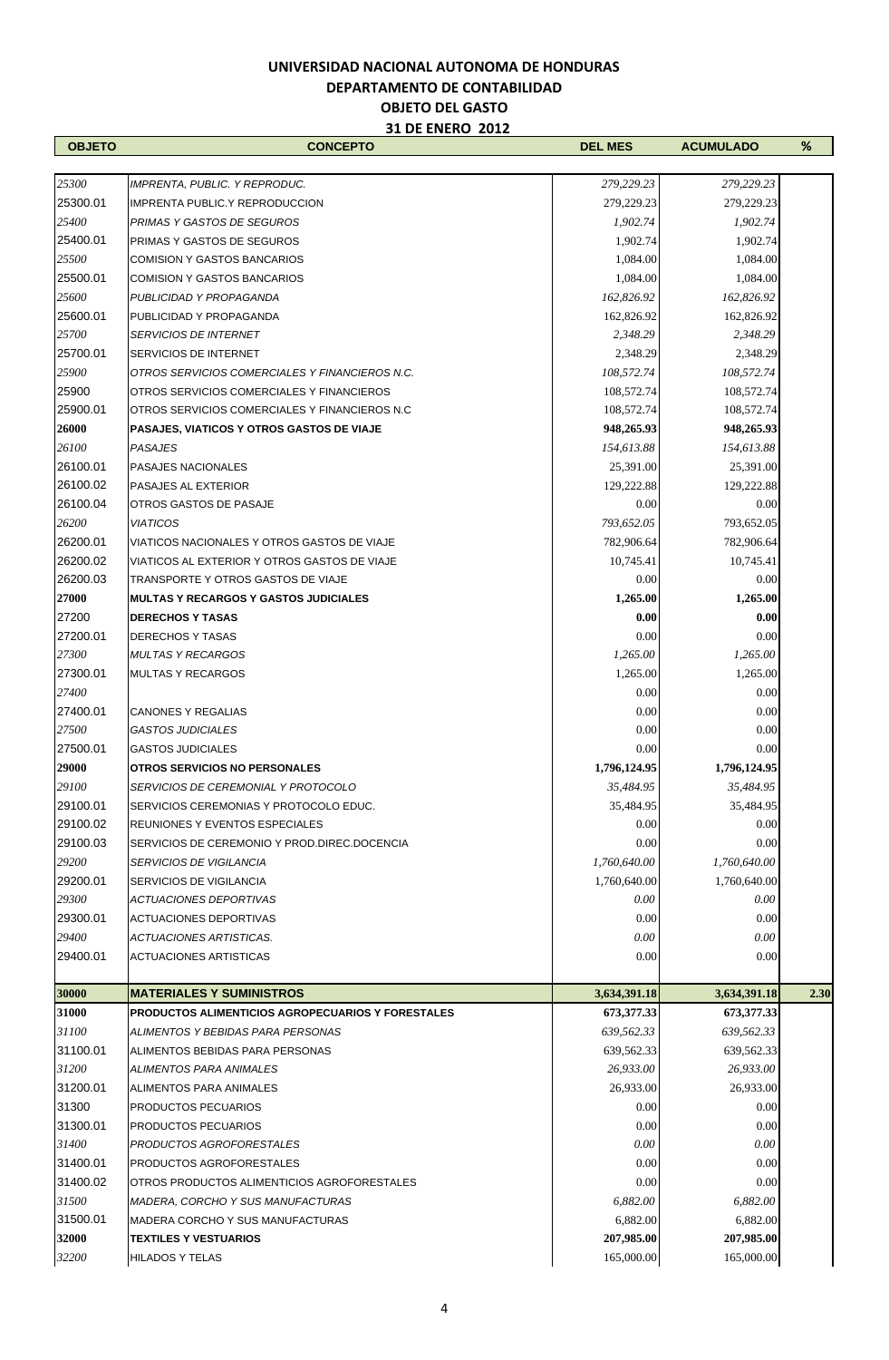$\mathbf{r}$ 

| <b>OBJETO</b>     | <b>CONCEPTO</b>                                          | <b>DEL MES</b>     | <b>ACUMULADO</b>         | %    |
|-------------------|----------------------------------------------------------|--------------------|--------------------------|------|
|                   |                                                          |                    |                          |      |
| 25300             | IMPRENTA, PUBLIC. Y REPRODUC.                            | 279,229.23         | 279,229.23               |      |
| 25300.01          | IMPRENTA PUBLIC.Y REPRODUCCION                           | 279,229.23         | 279,229.23               |      |
| 25400             | PRIMAS Y GASTOS DE SEGUROS                               | 1,902.74           | 1,902.74                 |      |
| 25400.01          | <b>PRIMAS Y GASTOS DE SEGUROS</b>                        | 1,902.74           | 1,902.74                 |      |
| 25500             | <b>COMISION Y GASTOS BANCARIOS</b>                       | 1,084.00           | 1,084.00                 |      |
| 25500.01          | <b>COMISION Y GASTOS BANCARIOS</b>                       | 1,084.00           | 1,084.00                 |      |
| 25600             | PUBLICIDAD Y PROPAGANDA                                  | 162,826.92         | 162,826.92               |      |
| 25600.01          | PUBLICIDAD Y PROPAGANDA                                  | 162,826.92         | 162,826.92               |      |
| 25700             | <b>SERVICIOS DE INTERNET</b>                             | 2,348.29           | 2,348.29                 |      |
| 25700.01          | <b>SERVICIOS DE INTERNET</b>                             | 2,348.29           | 2,348.29                 |      |
| 25900             | OTROS SERVICIOS COMERCIALES Y FINANCIEROS N.C.           | 108,572.74         | 108,572.74               |      |
| 25900             | OTROS SERVICIOS COMERCIALES Y FINANCIEROS                | 108,572.74         | 108,572.74               |      |
| 25900.01          | OTROS SERVICIOS COMERCIALES Y FINANCIEROS N.C.           | 108,572.74         | 108,572.74               |      |
| 26000             | <b>PASAJES, VIATICOS Y OTROS GASTOS DE VIAJE</b>         | 948,265.93         | 948,265.93               |      |
| 26100<br>26100.01 | <b>PASAJES</b>                                           | 154,613.88         | 154,613.88               |      |
| 26100.02          | <b>PASAJES NACIONALES</b><br>PASAJES AL EXTERIOR         | 25,391.00          | 25,391.00                |      |
| 26100.04          | OTROS GASTOS DE PASAJE                                   | 129,222.88         | 129,222.88               |      |
| 26200             | <b>VIATICOS</b>                                          | 0.00<br>793,652.05 | 0.00                     |      |
| 26200.01          | VIATICOS NACIONALES Y OTROS GASTOS DE VIAJE              | 782,906.64         | 793,652.05<br>782,906.64 |      |
| 26200.02          | VIATICOS AL EXTERIOR Y OTROS GASTOS DE VIAJE             | 10,745.41          | 10,745.41                |      |
| 26200.03          | TRANSPORTE Y OTROS GASTOS DE VIAJE                       | 0.00               | 0.00                     |      |
| 27000             | <b>MULTAS Y RECARGOS Y GASTOS JUDICIALES</b>             | 1,265.00           | 1,265.00                 |      |
| 27200             | <b>DERECHOS Y TASAS</b>                                  | 0.00               | 0.00                     |      |
| 27200.01          | <b>DERECHOS Y TASAS</b>                                  | 0.00               | 0.00                     |      |
| 27300             | <b>MULTAS Y RECARGOS</b>                                 | 1,265.00           | 1,265.00                 |      |
| 27300.01          | <b>MULTAS Y RECARGOS</b>                                 | 1,265.00           | 1,265.00                 |      |
| 27400             |                                                          | 0.00               | 0.00                     |      |
| 27400.01          | <b>CANONES Y REGALIAS</b>                                | 0.00               | 0.00                     |      |
| 27500             | <b>GASTOS JUDICIALES</b>                                 | 0.00               | 0.00                     |      |
| 27500.01          | <b>GASTOS JUDICIALES</b>                                 | 0.00               | 0.00                     |      |
| 29000             | <b>OTROS SERVICIOS NO PERSONALES</b>                     | 1,796,124.95       | 1,796,124.95             |      |
| 29100             | SERVICIOS DE CEREMONIAL Y PROTOCOLO                      | 35,484.95          | 35,484.95                |      |
| 29100.01          | SERVICIOS CEREMONIAS Y PROTOCOLO EDUC.                   | 35,484.95          | 35,484.95                |      |
| 29100.02          | REUNIONES Y EVENTOS ESPECIALES                           | 0.00               | 0.00                     |      |
| 29100.03          | SERVICIOS DE CEREMONIO Y PROD.DIREC.DOCENCIA             | 0.00               | 0.00                     |      |
| 29200             | <b>SERVICIOS DE VIGILANCIA</b>                           | 1,760,640.00       | 1,760,640.00             |      |
| 29200.01          | SERVICIOS DE VIGILANCIA                                  | 1,760,640.00       | 1,760,640.00             |      |
| 29300             | <b>ACTUACIONES DEPORTIVAS</b>                            | 0.00               | 0.00                     |      |
| 29300.01          | <b>ACTUACIONES DEPORTIVAS</b>                            | 0.00               | 0.00                     |      |
| 29400             | ACTUACIONES ARTISTICAS.                                  | 0.00               | 0.00                     |      |
| 29400.01          | <b>ACTUACIONES ARTISTICAS</b>                            | 0.00               | 0.00                     |      |
| 30000             | <b>MATERIALES Y SUMINISTROS</b>                          | 3,634,391.18       | 3,634,391.18             | 2.30 |
| 31000             | <b>PRODUCTOS ALIMENTICIOS AGROPECUARIOS Y FORESTALES</b> | 673,377.33         | 673,377.33               |      |
| 31100             | ALIMENTOS Y BEBIDAS PARA PERSONAS                        | 639,562.33         | 639,562.33               |      |
| 31100.01          | ALIMENTOS BEBIDAS PARA PERSONAS                          | 639,562.33         | 639,562.33               |      |
| 31200             | ALIMENTOS PARA ANIMALES                                  | 26,933.00          | 26,933.00                |      |
| 31200.01          | ALIMENTOS PARA ANIMALES                                  | 26,933.00          | 26,933.00                |      |
| 31300             | PRODUCTOS PECUARIOS                                      | 0.00               | 0.00                     |      |
| 31300.01          | PRODUCTOS PECUARIOS                                      | 0.00               | 0.00                     |      |
| 31400             | PRODUCTOS AGROFORESTALES                                 | 0.00               | 0.00                     |      |
| 31400.01          | PRODUCTOS AGROFORESTALES                                 | 0.00               | 0.00                     |      |
| 31400.02          | OTROS PRODUCTOS ALIMENTICIOS AGROFORESTALES              | 0.00               | 0.00                     |      |
| 31500             | <b>MADERA, CORCHO Y SUS MANUFACTURAS</b>                 | 6,882.00           | 6,882.00                 |      |
| 31500.01          | MADERA CORCHO Y SUS MANUFACTURAS                         | 6,882.00           | 6,882.00                 |      |
| 32000             | <b>TEXTILES Y VESTUARIOS</b>                             | 207,985.00         | 207,985.00               |      |
| 32200             | HILADOS Y TELAS                                          | 165,000.00         | 165,000.00               |      |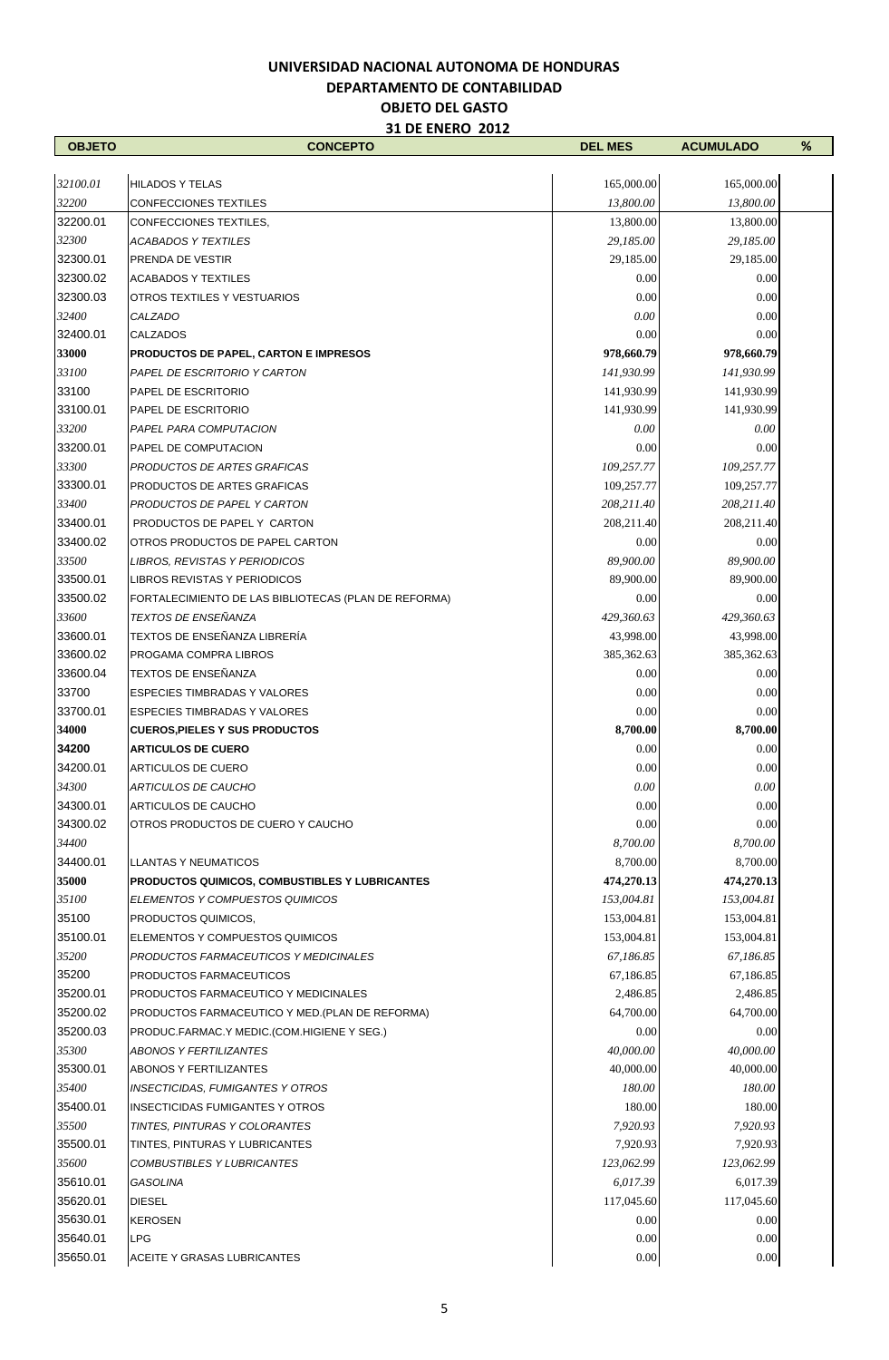| <b>OBJETO</b> | <b>CONCEPTO</b>                                      | <b>DEL MES</b> | <b>ACUMULADO</b> | % |
|---------------|------------------------------------------------------|----------------|------------------|---|
|               |                                                      |                |                  |   |
| 32100.01      | <b>HILADOS Y TELAS</b>                               | 165,000.00     | 165,000.00       |   |
| 32200         | CONFECCIONES TEXTILES                                | 13,800.00      | 13,800.00        |   |
| 32200.01      | CONFECCIONES TEXTILES,                               | 13,800.00      | 13,800.00        |   |
| 32300         | <b>ACABADOS Y TEXTILES</b>                           | 29,185.00      | 29,185.00        |   |
| 32300.01      | PRENDA DE VESTIR                                     | 29,185.00      | 29,185.00        |   |
| 32300.02      | <b>ACABADOS Y TEXTILES</b>                           | 0.00           | 0.00             |   |
| 32300.03      | OTROS TEXTILES Y VESTUARIOS                          | 0.00           | 0.00             |   |
| 32400         | CALZADO                                              | 0.00           | 0.00             |   |
| 32400.01      | <b>CALZADOS</b>                                      | 0.00           | 0.00             |   |
| 33000         | <b>PRODUCTOS DE PAPEL, CARTON E IMPRESOS</b>         | 978,660.79     | 978,660.79       |   |
| 33100         | PAPEL DE ESCRITORIO Y CARTON                         | 141,930.99     | 141,930.99       |   |
| 33100         | PAPEL DE ESCRITORIO                                  | 141,930.99     | 141,930.99       |   |
| 33100.01      | PAPEL DE ESCRITORIO                                  | 141,930.99     | 141,930.99       |   |
| 33200         | PAPEL PARA COMPUTACION                               | 0.00           | $0.00\,$         |   |
| 33200.01      | PAPEL DE COMPUTACION                                 | 0.00           | 0.00             |   |
| 33300         | PRODUCTOS DE ARTES GRAFICAS                          | 109,257.77     | 109,257.77       |   |
| 33300.01      | PRODUCTOS DE ARTES GRAFICAS                          | 109,257.77     | 109,257.77       |   |
| 33400         | PRODUCTOS DE PAPEL Y CARTON                          | 208,211.40     | 208,211.40       |   |
| 33400.01      | PRODUCTOS DE PAPEL Y CARTON                          | 208,211.40     | 208,211.40       |   |
| 33400.02      | OTROS PRODUCTOS DE PAPEL CARTON                      | 0.00           | 0.00             |   |
| 33500         | LIBROS, REVISTAS Y PERIODICOS                        | 89,900.00      | 89,900.00        |   |
| 33500.01      | LIBROS REVISTAS Y PERIODICOS                         | 89,900.00      | 89,900.00        |   |
| 33500.02      | FORTALECIMIENTO DE LAS BIBLIOTECAS (PLAN DE REFORMA) | 0.00           | 0.00             |   |
| 33600         | TEXTOS DE ENSEÑANZA                                  | 429,360.63     | 429,360.63       |   |
| 33600.01      | TEXTOS DE ENSEÑANZA LIBRERÍA                         | 43,998.00      | 43,998.00        |   |
| 33600.02      | PROGAMA COMPRA LIBROS                                | 385,362.63     | 385,362.63       |   |
| 33600.04      | TEXTOS DE ENSEÑANZA                                  | 0.00           | 0.00             |   |
| 33700         | <b>ESPECIES TIMBRADAS Y VALORES</b>                  | 0.00           | 0.00             |   |
| 33700.01      | ESPECIES TIMBRADAS Y VALORES                         | 0.00           | 0.00             |   |
| 34000         | <b>CUEROS, PIELES Y SUS PRODUCTOS</b>                | 8,700.00       | 8,700.00         |   |
| 34200         | <b>ARTICULOS DE CUERO</b>                            | 0.00           | 0.00             |   |
| 34200.01      | ARTICULOS DE CUERO                                   | 0.00           | 0.00             |   |
| 34300         | ARTICULOS DE CAUCHO                                  | 0.00           | 0.00             |   |
| 34300.01      | <b>ARTICULOS DE CAUCHO</b>                           | 0.00           | 0.00             |   |
| 34300.02      | OTROS PRODUCTOS DE CUERO Y CAUCHO                    | 0.00           | 0.00             |   |
| 34400         |                                                      | 8,700.00       | 8,700.00         |   |
| 34400.01      | <b>LLANTAS Y NEUMATICOS</b>                          | 8,700.00       | 8,700.00         |   |
| 35000         | PRODUCTOS QUIMICOS, COMBUSTIBLES Y LUBRICANTES       | 474,270.13     | 474,270.13       |   |
| 35100         | ELEMENTOS Y COMPUESTOS QUIMICOS                      | 153,004.81     | 153,004.81       |   |
| 35100         | PRODUCTOS QUIMICOS,                                  | 153,004.81     | 153,004.81       |   |
| 35100.01      | ELEMENTOS Y COMPUESTOS QUIMICOS                      | 153,004.81     | 153,004.81       |   |
| 35200         | PRODUCTOS FARMACEUTICOS Y MEDICINALES                | 67,186.85      | 67,186.85        |   |
| 35200         | PRODUCTOS FARMACEUTICOS                              | 67,186.85      | 67,186.85        |   |
| 35200.01      | PRODUCTOS FARMACEUTICO Y MEDICINALES                 | 2,486.85       | 2,486.85         |   |
| 35200.02      | PRODUCTOS FARMACEUTICO Y MED.(PLAN DE REFORMA)       | 64,700.00      | 64,700.00        |   |
| 35200.03      | PRODUC.FARMAC.Y MEDIC.(COM.HIGIENE Y SEG.)           | 0.00           | 0.00             |   |
| 35300         | ABONOS Y FERTILIZANTES                               | 40,000.00      | 40,000.00        |   |
| 35300.01      | <b>ABONOS Y FERTILIZANTES</b>                        | 40,000.00      | 40,000.00        |   |
| 35400         | <b>INSECTICIDAS, FUMIGANTES Y OTROS</b>              | 180.00         | 180.00           |   |
| 35400.01      | INSECTICIDAS FUMIGANTES Y OTROS                      | 180.00         | 180.00           |   |
| 35500         | TINTES, PINTURAS Y COLORANTES                        | 7,920.93       | 7,920.93         |   |
| 35500.01      | TINTES, PINTURAS Y LUBRICANTES                       | 7,920.93       | 7,920.93         |   |
| 35600         | COMBUSTIBLES Y LUBRICANTES                           | 123,062.99     | 123,062.99       |   |
| 35610.01      | GASOLINA                                             | 6,017.39       | 6,017.39         |   |
| 35620.01      | <b>DIESEL</b>                                        | 117,045.60     | 117,045.60       |   |
| 35630.01      | <b>KEROSEN</b>                                       | 0.00           | 0.00             |   |
| 35640.01      | <b>LPG</b>                                           | 0.00           | 0.00             |   |
| 35650.01      | ACEITE Y GRASAS LUBRICANTES                          | 0.00           | 0.00             |   |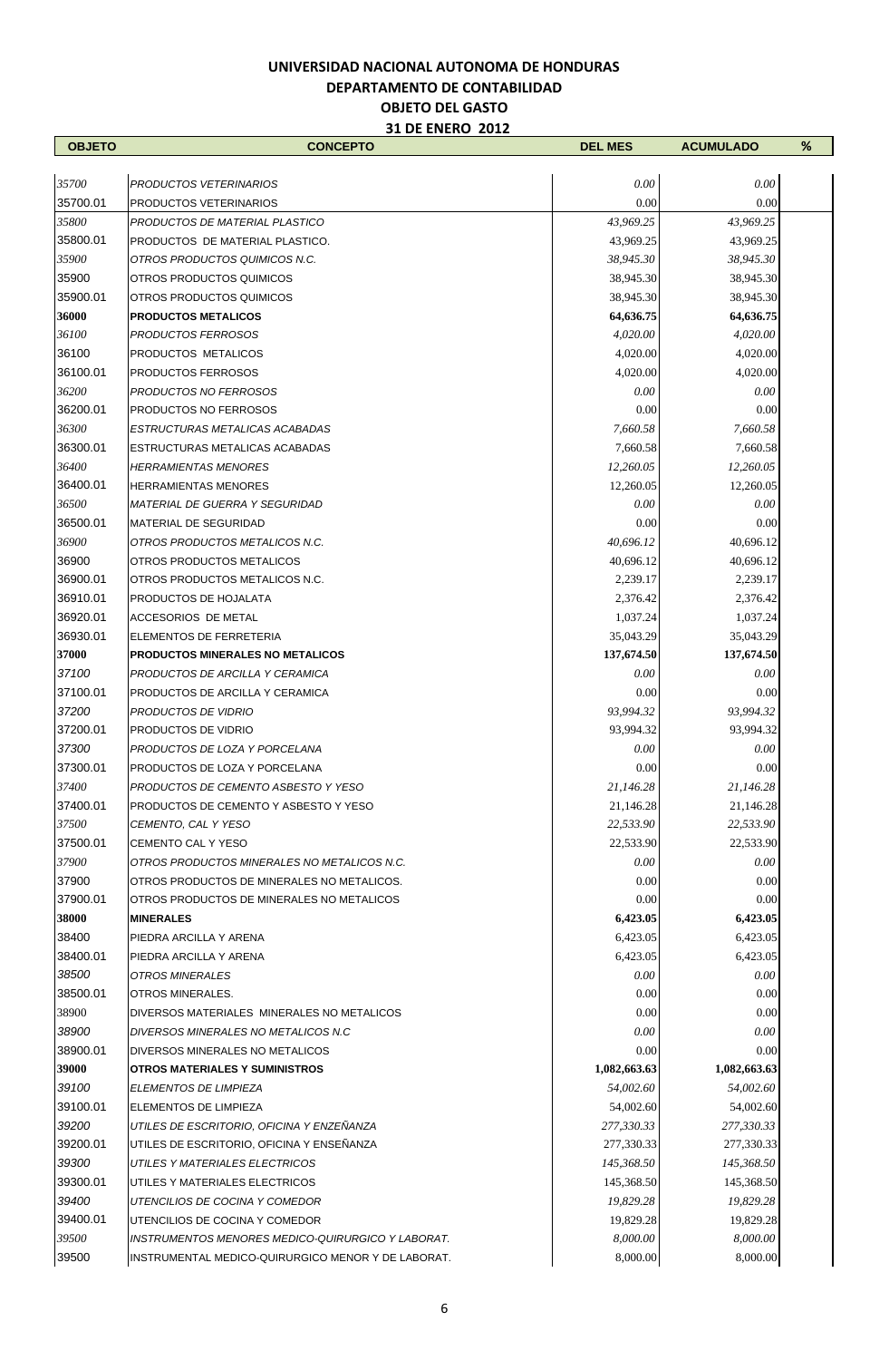| <b>OBJETO</b> | <b>CONCEPTO</b>                                    | <b>DEL MES</b> | <b>ACUMULADO</b> | % |
|---------------|----------------------------------------------------|----------------|------------------|---|
|               |                                                    |                |                  |   |
| 35700         | PRODUCTOS VETERINARIOS                             | 0.00           | 0.00             |   |
| 35700.01      | PRODUCTOS VETERINARIOS                             | 0.00           | 0.00             |   |
| 35800         | PRODUCTOS DE MATERIAL PLASTICO                     | 43,969.25      | 43,969.25        |   |
| 35800.01      | PRODUCTOS DE MATERIAL PLASTICO.                    | 43,969.25      | 43,969.25        |   |
| 35900         | OTROS PRODUCTOS QUIMICOS N.C.                      | 38,945.30      | 38,945.30        |   |
| 35900         | OTROS PRODUCTOS QUIMICOS                           | 38,945.30      | 38,945.30        |   |
| 35900.01      | OTROS PRODUCTOS QUIMICOS                           | 38,945.30      | 38,945.30        |   |
| 36000         | <b>PRODUCTOS METALICOS</b>                         | 64,636.75      | 64,636.75        |   |
| 36100         | PRODUCTOS FERROSOS                                 | 4,020.00       | 4,020.00         |   |
| 36100         | PRODUCTOS METALICOS                                | 4,020.00       | 4,020.00         |   |
| 36100.01      | PRODUCTOS FERROSOS                                 | 4,020.00       | 4,020.00         |   |
| 36200         | PRODUCTOS NO FERROSOS                              | 0.00           | 0.00             |   |
| 36200.01      | PRODUCTOS NO FERROSOS                              | 0.00           | 0.00             |   |
| 36300         | ESTRUCTURAS METALICAS ACABADAS                     | 7,660.58       | 7,660.58         |   |
| 36300.01      | ESTRUCTURAS METALICAS ACABADAS                     | 7,660.58       | 7,660.58         |   |
| 36400         | <b>HERRAMIENTAS MENORES</b>                        | 12,260.05      | 12,260.05        |   |
| 36400.01      | <b>HERRAMIENTAS MENORES</b>                        | 12,260.05      | 12,260.05        |   |
| 36500         | <b>MATERIAL DE GUERRA Y SEGURIDAD</b>              | 0.00           | 0.00             |   |
| 36500.01      | MATERIAL DE SEGURIDAD                              | 0.00           | 0.00             |   |
| 36900         | OTROS PRODUCTOS METALICOS N.C.                     | 40,696.12      | 40,696.12        |   |
| 36900         | OTROS PRODUCTOS METALICOS                          | 40,696.12      | 40,696.12        |   |
| 36900.01      | OTROS PRODUCTOS METALICOS N.C.                     | 2,239.17       | 2,239.17         |   |
| 36910.01      | PRODUCTOS DE HOJALATA                              | 2,376.42       | 2,376.42         |   |
| 36920.01      | <b>ACCESORIOS DE METAL</b>                         | 1,037.24       | 1,037.24         |   |
| 36930.01      | ELEMENTOS DE FERRETERIA                            | 35,043.29      | 35,043.29        |   |
| 37000         | PRODUCTOS MINERALES NO METALICOS                   | 137,674.50     | 137,674.50       |   |
| 37100         | PRODUCTOS DE ARCILLA Y CERAMICA                    | 0.00           | 0.00             |   |
| 37100.01      | PRODUCTOS DE ARCILLA Y CERAMICA                    | 0.00           | 0.00             |   |
| 37200         | PRODUCTOS DE VIDRIO                                | 93,994.32      | 93,994.32        |   |
| 37200.01      | PRODUCTOS DE VIDRIO                                | 93,994.32      | 93,994.32        |   |
| 37300         | PRODUCTOS DE LOZA Y PORCELANA                      | 0.00           | $0.00\,$         |   |
| 37300.01      | PRODUCTOS DE LOZA Y PORCELANA                      | 0.00           | 0.00             |   |
| 37400         | PRODUCTOS DE CEMENTO ASBESTO Y YESO                | 21.146.28      | 21,146.28        |   |
| 37400.01      | PRODUCTOS DE CEMENTO Y ASBESTO Y YESO              | 21,146.28      | 21,146.28        |   |
| 37500         | CEMENTO, CAL Y YESO                                | 22,533.90      | 22,533.90        |   |
| 37500.01      | <b>CEMENTO CAL Y YESO</b>                          | 22,533.90      | 22,533.90        |   |
| 37900         | OTROS PRODUCTOS MINERALES NO METALICOS N.C.        | 0.00           | 0.00             |   |
| 37900         | OTROS PRODUCTOS DE MINERALES NO METALICOS.         | 0.00           | 0.00             |   |
| 37900.01      | OTROS PRODUCTOS DE MINERALES NO METALICOS          | 0.00           | 0.00             |   |
| 38000         | <b>MINERALES</b>                                   | 6,423.05       | 6,423.05         |   |
| 38400         | PIEDRA ARCILLA Y ARENA                             | 6,423.05       | 6,423.05         |   |
| 38400.01      | PIEDRA ARCILLA Y ARENA                             | 6,423.05       | 6,423.05         |   |
| 38500         | OTROS MINERALES                                    | 0.00           | $0.00\,$         |   |
| 38500.01      | OTROS MINERALES.                                   | 0.00           | 0.00             |   |
| 38900         | DIVERSOS MATERIALES MINERALES NO METALICOS         | 0.00           | 0.00             |   |
| 38900         | DIVERSOS MINERALES NO METALICOS N.C                | 0.00           | 0.00             |   |
| 38900.01      | DIVERSOS MINERALES NO METALICOS                    | 0.00           | 0.00             |   |
| 39000         | <b>OTROS MATERIALES Y SUMINISTROS</b>              | 1,082,663.63   | 1,082,663.63     |   |
| 39100         | ELEMENTOS DE LIMPIEZA                              | 54,002.60      | 54,002.60        |   |
| 39100.01      | ELEMENTOS DE LIMPIEZA                              | 54,002.60      | 54,002.60        |   |
| 39200         | UTILES DE ESCRITORIO, OFICINA Y ENZEÑANZA          | 277,330.33     | 277,330.33       |   |
| 39200.01      | UTILES DE ESCRITORIO, OFICINA Y ENSEÑANZA          | 277,330.33     | 277,330.33       |   |
| 39300         | UTILES Y MATERIALES ELECTRICOS                     | 145,368.50     | 145,368.50       |   |
| 39300.01      | UTILES Y MATERIALES ELECTRICOS                     | 145,368.50     | 145,368.50       |   |
| 39400         | UTENCILIOS DE COCINA Y COMEDOR                     | 19,829.28      | 19,829.28        |   |
| 39400.01      | UTENCILIOS DE COCINA Y COMEDOR                     | 19,829.28      | 19,829.28        |   |
| 39500         | INSTRUMENTOS MENORES MEDICO-QUIRURGICO Y LABORAT.  | 8,000.00       | 8,000.00         |   |
| 39500         | INSTRUMENTAL MEDICO-QUIRURGICO MENOR Y DE LABORAT. | 8,000.00       | 8,000.00         |   |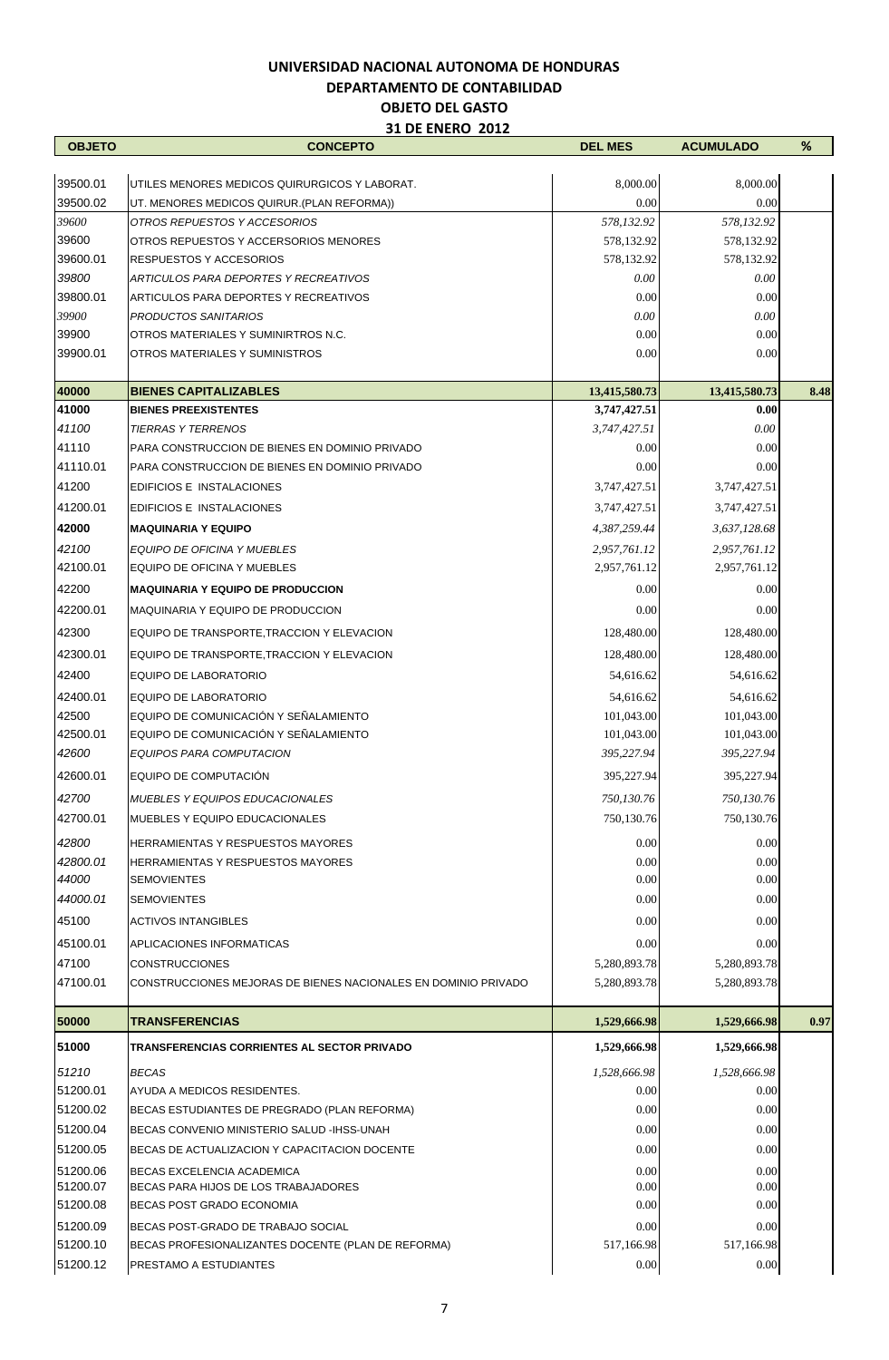| 8,000.00<br>8,000.00<br>UTILES MENORES MEDICOS QUIRURGICOS Y LABORAT.<br>39500.02<br>0.00<br>0.00<br>UT. MENORES MEDICOS QUIRUR (PLAN REFORMA))<br>39600<br>578,132.92<br>578,132.92<br>OTROS REPUESTOS Y ACCESORIOS<br>39600<br>OTROS REPUESTOS Y ACCERSORIOS MENORES<br>578,132.92<br>578,132.92<br>39600.01<br>578,132.92<br>578,132.92<br><b>RESPUESTOS Y ACCESORIOS</b><br>39800<br>0.00<br>0.00<br>ARTICULOS PARA DEPORTES Y RECREATIVOS<br>39800.01<br>0.00<br>0.00<br>ARTICULOS PARA DEPORTES Y RECREATIVOS<br>39900<br>0.00<br>0.00<br><b>PRODUCTOS SANITARIOS</b><br>0.00<br>0.00<br>OTROS MATERIALES Y SUMINIRTROS N.C.<br>0.00<br>0.00<br>OTROS MATERIALES Y SUMINISTROS<br><b>BIENES CAPITALIZABLES</b><br>13,415,580.73<br>13,415,580.73<br>8.48<br><b>BIENES PREEXISTENTES</b><br>3,747,427.51<br>0.00<br>0.00<br><b>TIERRAS Y TERRENOS</b><br>3,747,427.51<br>0.00<br>PARA CONSTRUCCION DE BIENES EN DOMINIO PRIVADO<br>0.00<br>0.00<br>PARA CONSTRUCCION DE BIENES EN DOMINIO PRIVADO<br>0.00<br>EDIFICIOS E INSTALACIONES<br>3,747,427.51<br>3,747,427.51<br>EDIFICIOS E INSTALACIONES<br>3,747,427.51<br>3,747,427.51<br><b>MAQUINARIA Y EQUIPO</b><br>4,387,259.44<br>3,637,128.68<br><b>EQUIPO DE OFICINA Y MUEBLES</b><br>2,957,761.12<br>2,957,761.12<br>EQUIPO DE OFICINA Y MUEBLES<br>2,957,761.12<br>2,957,761.12<br>0.00<br>0.00<br><b>MAQUINARIA Y EQUIPO DE PRODUCCION</b><br>MAQUINARIA Y EQUIPO DE PRODUCCION<br>0.00<br>0.00<br>128,480.00<br>128,480.00<br>EQUIPO DE TRANSPORTE, TRACCION Y ELEVACION<br>EQUIPO DE TRANSPORTE, TRACCION Y ELEVACION<br>128,480.00<br>128,480.00<br>EQUIPO DE LABORATORIO<br>54,616.62<br>54,616.62<br><b>EQUIPO DE LABORATORIO</b><br>54,616.62<br>54,616.62<br>EQUIPO DE COMUNICACIÓN Y SEÑALAMIENTO<br>101,043.00<br>101,043.00<br>EQUIPO DE COMUNICACIÓN Y SEÑALAMIENTO<br>101,043.00<br>101,043.00<br>EQUIPOS PARA COMPUTACION<br>395,227.94<br>395,227.94<br>EQUIPO DE COMPUTACIÓN<br>395,227.94<br>395,227.94<br>750,130.76<br>750,130.76<br><b>MUEBLES Y EQUIPOS EDUCACIONALES</b><br><b>MUEBLES Y EQUIPO EDUCACIONALES</b><br>750,130.76<br>750,130.76<br>42800<br>0.00<br>0.00<br><b>HERRAMIENTAS Y RESPUESTOS MAYORES</b><br>42800.01<br>0.00<br>0.00<br><b>HERRAMIENTAS Y RESPUESTOS MAYORES</b><br>0.00<br>0.00<br><b>SEMOVIENTES</b><br>0.00<br><b>SEMOVIENTES</b><br>0.00<br>45100<br>0.00<br>0.00<br><b>ACTIVOS INTANGIBLES</b><br>45100.01<br>0.00<br>0.00<br>APLICACIONES INFORMATICAS<br>47100<br><b>CONSTRUCCIONES</b><br>5,280,893.78<br>5,280,893.78<br>47100.01<br>CONSTRUCCIONES MEJORAS DE BIENES NACIONALES EN DOMINIO PRIVADO<br>5,280,893.78<br>5,280,893.78<br><b>TRANSFERENCIAS</b><br>0.97<br>1,529,666.98<br>1,529,666.98<br>51000<br>1,529,666.98<br>1,529,666.98<br>TRANSFERENCIAS CORRIENTES AL SECTOR PRIVADO<br>51210<br>1,528,666.98<br><b>BECAS</b><br>1,528,666.98<br>51200.01<br>AYUDA A MEDICOS RESIDENTES.<br>0.00<br>0.00<br>51200.02<br>0.00<br>0.00<br>BECAS ESTUDIANTES DE PREGRADO (PLAN REFORMA)<br>51200.04<br>0.00<br>0.00<br>BECAS CONVENIO MINISTERIO SALUD - IHSS-UNAH<br>51200.05<br>0.00<br>0.00<br>BECAS DE ACTUALIZACION Y CAPACITACION DOCENTE<br>51200.06<br>0.00<br>0.00<br><b>BECAS EXCELENCIA ACADEMICA</b><br>0.00<br>BECAS PARA HIJOS DE LOS TRABAJADORES<br>0.00 | <b>OBJETO</b> | <b>CONCEPTO</b> | <b>DEL MES</b> | <b>ACUMULADO</b> | % |
|----------------------------------------------------------------------------------------------------------------------------------------------------------------------------------------------------------------------------------------------------------------------------------------------------------------------------------------------------------------------------------------------------------------------------------------------------------------------------------------------------------------------------------------------------------------------------------------------------------------------------------------------------------------------------------------------------------------------------------------------------------------------------------------------------------------------------------------------------------------------------------------------------------------------------------------------------------------------------------------------------------------------------------------------------------------------------------------------------------------------------------------------------------------------------------------------------------------------------------------------------------------------------------------------------------------------------------------------------------------------------------------------------------------------------------------------------------------------------------------------------------------------------------------------------------------------------------------------------------------------------------------------------------------------------------------------------------------------------------------------------------------------------------------------------------------------------------------------------------------------------------------------------------------------------------------------------------------------------------------------------------------------------------------------------------------------------------------------------------------------------------------------------------------------------------------------------------------------------------------------------------------------------------------------------------------------------------------------------------------------------------------------------------------------------------------------------------------------------------------------------------------------------------------------------------------------------------------------------------------------------------------------------------------------------------------------------------------------------------------------------------------------------------------------------------------------------------------------------------------------------------------------------------------------------------------------------------------------------------------------------------------------------------------------------------------------------------------------------------------------------------------------------------------------------------------------------------------------------------------------------------------------------------------------------|---------------|-----------------|----------------|------------------|---|
|                                                                                                                                                                                                                                                                                                                                                                                                                                                                                                                                                                                                                                                                                                                                                                                                                                                                                                                                                                                                                                                                                                                                                                                                                                                                                                                                                                                                                                                                                                                                                                                                                                                                                                                                                                                                                                                                                                                                                                                                                                                                                                                                                                                                                                                                                                                                                                                                                                                                                                                                                                                                                                                                                                                                                                                                                                                                                                                                                                                                                                                                                                                                                                                                                                                                                                    |               |                 |                |                  |   |
|                                                                                                                                                                                                                                                                                                                                                                                                                                                                                                                                                                                                                                                                                                                                                                                                                                                                                                                                                                                                                                                                                                                                                                                                                                                                                                                                                                                                                                                                                                                                                                                                                                                                                                                                                                                                                                                                                                                                                                                                                                                                                                                                                                                                                                                                                                                                                                                                                                                                                                                                                                                                                                                                                                                                                                                                                                                                                                                                                                                                                                                                                                                                                                                                                                                                                                    | 39500.01      |                 |                |                  |   |
|                                                                                                                                                                                                                                                                                                                                                                                                                                                                                                                                                                                                                                                                                                                                                                                                                                                                                                                                                                                                                                                                                                                                                                                                                                                                                                                                                                                                                                                                                                                                                                                                                                                                                                                                                                                                                                                                                                                                                                                                                                                                                                                                                                                                                                                                                                                                                                                                                                                                                                                                                                                                                                                                                                                                                                                                                                                                                                                                                                                                                                                                                                                                                                                                                                                                                                    |               |                 |                |                  |   |
|                                                                                                                                                                                                                                                                                                                                                                                                                                                                                                                                                                                                                                                                                                                                                                                                                                                                                                                                                                                                                                                                                                                                                                                                                                                                                                                                                                                                                                                                                                                                                                                                                                                                                                                                                                                                                                                                                                                                                                                                                                                                                                                                                                                                                                                                                                                                                                                                                                                                                                                                                                                                                                                                                                                                                                                                                                                                                                                                                                                                                                                                                                                                                                                                                                                                                                    |               |                 |                |                  |   |
|                                                                                                                                                                                                                                                                                                                                                                                                                                                                                                                                                                                                                                                                                                                                                                                                                                                                                                                                                                                                                                                                                                                                                                                                                                                                                                                                                                                                                                                                                                                                                                                                                                                                                                                                                                                                                                                                                                                                                                                                                                                                                                                                                                                                                                                                                                                                                                                                                                                                                                                                                                                                                                                                                                                                                                                                                                                                                                                                                                                                                                                                                                                                                                                                                                                                                                    |               |                 |                |                  |   |
|                                                                                                                                                                                                                                                                                                                                                                                                                                                                                                                                                                                                                                                                                                                                                                                                                                                                                                                                                                                                                                                                                                                                                                                                                                                                                                                                                                                                                                                                                                                                                                                                                                                                                                                                                                                                                                                                                                                                                                                                                                                                                                                                                                                                                                                                                                                                                                                                                                                                                                                                                                                                                                                                                                                                                                                                                                                                                                                                                                                                                                                                                                                                                                                                                                                                                                    |               |                 |                |                  |   |
|                                                                                                                                                                                                                                                                                                                                                                                                                                                                                                                                                                                                                                                                                                                                                                                                                                                                                                                                                                                                                                                                                                                                                                                                                                                                                                                                                                                                                                                                                                                                                                                                                                                                                                                                                                                                                                                                                                                                                                                                                                                                                                                                                                                                                                                                                                                                                                                                                                                                                                                                                                                                                                                                                                                                                                                                                                                                                                                                                                                                                                                                                                                                                                                                                                                                                                    |               |                 |                |                  |   |
|                                                                                                                                                                                                                                                                                                                                                                                                                                                                                                                                                                                                                                                                                                                                                                                                                                                                                                                                                                                                                                                                                                                                                                                                                                                                                                                                                                                                                                                                                                                                                                                                                                                                                                                                                                                                                                                                                                                                                                                                                                                                                                                                                                                                                                                                                                                                                                                                                                                                                                                                                                                                                                                                                                                                                                                                                                                                                                                                                                                                                                                                                                                                                                                                                                                                                                    |               |                 |                |                  |   |
|                                                                                                                                                                                                                                                                                                                                                                                                                                                                                                                                                                                                                                                                                                                                                                                                                                                                                                                                                                                                                                                                                                                                                                                                                                                                                                                                                                                                                                                                                                                                                                                                                                                                                                                                                                                                                                                                                                                                                                                                                                                                                                                                                                                                                                                                                                                                                                                                                                                                                                                                                                                                                                                                                                                                                                                                                                                                                                                                                                                                                                                                                                                                                                                                                                                                                                    | 39900         |                 |                |                  |   |
|                                                                                                                                                                                                                                                                                                                                                                                                                                                                                                                                                                                                                                                                                                                                                                                                                                                                                                                                                                                                                                                                                                                                                                                                                                                                                                                                                                                                                                                                                                                                                                                                                                                                                                                                                                                                                                                                                                                                                                                                                                                                                                                                                                                                                                                                                                                                                                                                                                                                                                                                                                                                                                                                                                                                                                                                                                                                                                                                                                                                                                                                                                                                                                                                                                                                                                    | 39900.01      |                 |                |                  |   |
|                                                                                                                                                                                                                                                                                                                                                                                                                                                                                                                                                                                                                                                                                                                                                                                                                                                                                                                                                                                                                                                                                                                                                                                                                                                                                                                                                                                                                                                                                                                                                                                                                                                                                                                                                                                                                                                                                                                                                                                                                                                                                                                                                                                                                                                                                                                                                                                                                                                                                                                                                                                                                                                                                                                                                                                                                                                                                                                                                                                                                                                                                                                                                                                                                                                                                                    |               |                 |                |                  |   |
|                                                                                                                                                                                                                                                                                                                                                                                                                                                                                                                                                                                                                                                                                                                                                                                                                                                                                                                                                                                                                                                                                                                                                                                                                                                                                                                                                                                                                                                                                                                                                                                                                                                                                                                                                                                                                                                                                                                                                                                                                                                                                                                                                                                                                                                                                                                                                                                                                                                                                                                                                                                                                                                                                                                                                                                                                                                                                                                                                                                                                                                                                                                                                                                                                                                                                                    | 40000         |                 |                |                  |   |
|                                                                                                                                                                                                                                                                                                                                                                                                                                                                                                                                                                                                                                                                                                                                                                                                                                                                                                                                                                                                                                                                                                                                                                                                                                                                                                                                                                                                                                                                                                                                                                                                                                                                                                                                                                                                                                                                                                                                                                                                                                                                                                                                                                                                                                                                                                                                                                                                                                                                                                                                                                                                                                                                                                                                                                                                                                                                                                                                                                                                                                                                                                                                                                                                                                                                                                    | 41000         |                 |                |                  |   |
|                                                                                                                                                                                                                                                                                                                                                                                                                                                                                                                                                                                                                                                                                                                                                                                                                                                                                                                                                                                                                                                                                                                                                                                                                                                                                                                                                                                                                                                                                                                                                                                                                                                                                                                                                                                                                                                                                                                                                                                                                                                                                                                                                                                                                                                                                                                                                                                                                                                                                                                                                                                                                                                                                                                                                                                                                                                                                                                                                                                                                                                                                                                                                                                                                                                                                                    | 41100         |                 |                |                  |   |
|                                                                                                                                                                                                                                                                                                                                                                                                                                                                                                                                                                                                                                                                                                                                                                                                                                                                                                                                                                                                                                                                                                                                                                                                                                                                                                                                                                                                                                                                                                                                                                                                                                                                                                                                                                                                                                                                                                                                                                                                                                                                                                                                                                                                                                                                                                                                                                                                                                                                                                                                                                                                                                                                                                                                                                                                                                                                                                                                                                                                                                                                                                                                                                                                                                                                                                    | 41110         |                 |                |                  |   |
|                                                                                                                                                                                                                                                                                                                                                                                                                                                                                                                                                                                                                                                                                                                                                                                                                                                                                                                                                                                                                                                                                                                                                                                                                                                                                                                                                                                                                                                                                                                                                                                                                                                                                                                                                                                                                                                                                                                                                                                                                                                                                                                                                                                                                                                                                                                                                                                                                                                                                                                                                                                                                                                                                                                                                                                                                                                                                                                                                                                                                                                                                                                                                                                                                                                                                                    | 41110.01      |                 |                |                  |   |
|                                                                                                                                                                                                                                                                                                                                                                                                                                                                                                                                                                                                                                                                                                                                                                                                                                                                                                                                                                                                                                                                                                                                                                                                                                                                                                                                                                                                                                                                                                                                                                                                                                                                                                                                                                                                                                                                                                                                                                                                                                                                                                                                                                                                                                                                                                                                                                                                                                                                                                                                                                                                                                                                                                                                                                                                                                                                                                                                                                                                                                                                                                                                                                                                                                                                                                    | 41200         |                 |                |                  |   |
|                                                                                                                                                                                                                                                                                                                                                                                                                                                                                                                                                                                                                                                                                                                                                                                                                                                                                                                                                                                                                                                                                                                                                                                                                                                                                                                                                                                                                                                                                                                                                                                                                                                                                                                                                                                                                                                                                                                                                                                                                                                                                                                                                                                                                                                                                                                                                                                                                                                                                                                                                                                                                                                                                                                                                                                                                                                                                                                                                                                                                                                                                                                                                                                                                                                                                                    | 41200.01      |                 |                |                  |   |
|                                                                                                                                                                                                                                                                                                                                                                                                                                                                                                                                                                                                                                                                                                                                                                                                                                                                                                                                                                                                                                                                                                                                                                                                                                                                                                                                                                                                                                                                                                                                                                                                                                                                                                                                                                                                                                                                                                                                                                                                                                                                                                                                                                                                                                                                                                                                                                                                                                                                                                                                                                                                                                                                                                                                                                                                                                                                                                                                                                                                                                                                                                                                                                                                                                                                                                    | 42000         |                 |                |                  |   |
|                                                                                                                                                                                                                                                                                                                                                                                                                                                                                                                                                                                                                                                                                                                                                                                                                                                                                                                                                                                                                                                                                                                                                                                                                                                                                                                                                                                                                                                                                                                                                                                                                                                                                                                                                                                                                                                                                                                                                                                                                                                                                                                                                                                                                                                                                                                                                                                                                                                                                                                                                                                                                                                                                                                                                                                                                                                                                                                                                                                                                                                                                                                                                                                                                                                                                                    | 42100         |                 |                |                  |   |
|                                                                                                                                                                                                                                                                                                                                                                                                                                                                                                                                                                                                                                                                                                                                                                                                                                                                                                                                                                                                                                                                                                                                                                                                                                                                                                                                                                                                                                                                                                                                                                                                                                                                                                                                                                                                                                                                                                                                                                                                                                                                                                                                                                                                                                                                                                                                                                                                                                                                                                                                                                                                                                                                                                                                                                                                                                                                                                                                                                                                                                                                                                                                                                                                                                                                                                    | 42100.01      |                 |                |                  |   |
|                                                                                                                                                                                                                                                                                                                                                                                                                                                                                                                                                                                                                                                                                                                                                                                                                                                                                                                                                                                                                                                                                                                                                                                                                                                                                                                                                                                                                                                                                                                                                                                                                                                                                                                                                                                                                                                                                                                                                                                                                                                                                                                                                                                                                                                                                                                                                                                                                                                                                                                                                                                                                                                                                                                                                                                                                                                                                                                                                                                                                                                                                                                                                                                                                                                                                                    | 42200         |                 |                |                  |   |
|                                                                                                                                                                                                                                                                                                                                                                                                                                                                                                                                                                                                                                                                                                                                                                                                                                                                                                                                                                                                                                                                                                                                                                                                                                                                                                                                                                                                                                                                                                                                                                                                                                                                                                                                                                                                                                                                                                                                                                                                                                                                                                                                                                                                                                                                                                                                                                                                                                                                                                                                                                                                                                                                                                                                                                                                                                                                                                                                                                                                                                                                                                                                                                                                                                                                                                    | 42200.01      |                 |                |                  |   |
|                                                                                                                                                                                                                                                                                                                                                                                                                                                                                                                                                                                                                                                                                                                                                                                                                                                                                                                                                                                                                                                                                                                                                                                                                                                                                                                                                                                                                                                                                                                                                                                                                                                                                                                                                                                                                                                                                                                                                                                                                                                                                                                                                                                                                                                                                                                                                                                                                                                                                                                                                                                                                                                                                                                                                                                                                                                                                                                                                                                                                                                                                                                                                                                                                                                                                                    | 42300         |                 |                |                  |   |
|                                                                                                                                                                                                                                                                                                                                                                                                                                                                                                                                                                                                                                                                                                                                                                                                                                                                                                                                                                                                                                                                                                                                                                                                                                                                                                                                                                                                                                                                                                                                                                                                                                                                                                                                                                                                                                                                                                                                                                                                                                                                                                                                                                                                                                                                                                                                                                                                                                                                                                                                                                                                                                                                                                                                                                                                                                                                                                                                                                                                                                                                                                                                                                                                                                                                                                    | 42300.01      |                 |                |                  |   |
|                                                                                                                                                                                                                                                                                                                                                                                                                                                                                                                                                                                                                                                                                                                                                                                                                                                                                                                                                                                                                                                                                                                                                                                                                                                                                                                                                                                                                                                                                                                                                                                                                                                                                                                                                                                                                                                                                                                                                                                                                                                                                                                                                                                                                                                                                                                                                                                                                                                                                                                                                                                                                                                                                                                                                                                                                                                                                                                                                                                                                                                                                                                                                                                                                                                                                                    | 42400         |                 |                |                  |   |
|                                                                                                                                                                                                                                                                                                                                                                                                                                                                                                                                                                                                                                                                                                                                                                                                                                                                                                                                                                                                                                                                                                                                                                                                                                                                                                                                                                                                                                                                                                                                                                                                                                                                                                                                                                                                                                                                                                                                                                                                                                                                                                                                                                                                                                                                                                                                                                                                                                                                                                                                                                                                                                                                                                                                                                                                                                                                                                                                                                                                                                                                                                                                                                                                                                                                                                    | 42400.01      |                 |                |                  |   |
|                                                                                                                                                                                                                                                                                                                                                                                                                                                                                                                                                                                                                                                                                                                                                                                                                                                                                                                                                                                                                                                                                                                                                                                                                                                                                                                                                                                                                                                                                                                                                                                                                                                                                                                                                                                                                                                                                                                                                                                                                                                                                                                                                                                                                                                                                                                                                                                                                                                                                                                                                                                                                                                                                                                                                                                                                                                                                                                                                                                                                                                                                                                                                                                                                                                                                                    | 42500         |                 |                |                  |   |
|                                                                                                                                                                                                                                                                                                                                                                                                                                                                                                                                                                                                                                                                                                                                                                                                                                                                                                                                                                                                                                                                                                                                                                                                                                                                                                                                                                                                                                                                                                                                                                                                                                                                                                                                                                                                                                                                                                                                                                                                                                                                                                                                                                                                                                                                                                                                                                                                                                                                                                                                                                                                                                                                                                                                                                                                                                                                                                                                                                                                                                                                                                                                                                                                                                                                                                    | 42500.01      |                 |                |                  |   |
|                                                                                                                                                                                                                                                                                                                                                                                                                                                                                                                                                                                                                                                                                                                                                                                                                                                                                                                                                                                                                                                                                                                                                                                                                                                                                                                                                                                                                                                                                                                                                                                                                                                                                                                                                                                                                                                                                                                                                                                                                                                                                                                                                                                                                                                                                                                                                                                                                                                                                                                                                                                                                                                                                                                                                                                                                                                                                                                                                                                                                                                                                                                                                                                                                                                                                                    | 42600         |                 |                |                  |   |
|                                                                                                                                                                                                                                                                                                                                                                                                                                                                                                                                                                                                                                                                                                                                                                                                                                                                                                                                                                                                                                                                                                                                                                                                                                                                                                                                                                                                                                                                                                                                                                                                                                                                                                                                                                                                                                                                                                                                                                                                                                                                                                                                                                                                                                                                                                                                                                                                                                                                                                                                                                                                                                                                                                                                                                                                                                                                                                                                                                                                                                                                                                                                                                                                                                                                                                    | 42600.01      |                 |                |                  |   |
|                                                                                                                                                                                                                                                                                                                                                                                                                                                                                                                                                                                                                                                                                                                                                                                                                                                                                                                                                                                                                                                                                                                                                                                                                                                                                                                                                                                                                                                                                                                                                                                                                                                                                                                                                                                                                                                                                                                                                                                                                                                                                                                                                                                                                                                                                                                                                                                                                                                                                                                                                                                                                                                                                                                                                                                                                                                                                                                                                                                                                                                                                                                                                                                                                                                                                                    | 42700         |                 |                |                  |   |
|                                                                                                                                                                                                                                                                                                                                                                                                                                                                                                                                                                                                                                                                                                                                                                                                                                                                                                                                                                                                                                                                                                                                                                                                                                                                                                                                                                                                                                                                                                                                                                                                                                                                                                                                                                                                                                                                                                                                                                                                                                                                                                                                                                                                                                                                                                                                                                                                                                                                                                                                                                                                                                                                                                                                                                                                                                                                                                                                                                                                                                                                                                                                                                                                                                                                                                    | 42700.01      |                 |                |                  |   |
|                                                                                                                                                                                                                                                                                                                                                                                                                                                                                                                                                                                                                                                                                                                                                                                                                                                                                                                                                                                                                                                                                                                                                                                                                                                                                                                                                                                                                                                                                                                                                                                                                                                                                                                                                                                                                                                                                                                                                                                                                                                                                                                                                                                                                                                                                                                                                                                                                                                                                                                                                                                                                                                                                                                                                                                                                                                                                                                                                                                                                                                                                                                                                                                                                                                                                                    |               |                 |                |                  |   |
|                                                                                                                                                                                                                                                                                                                                                                                                                                                                                                                                                                                                                                                                                                                                                                                                                                                                                                                                                                                                                                                                                                                                                                                                                                                                                                                                                                                                                                                                                                                                                                                                                                                                                                                                                                                                                                                                                                                                                                                                                                                                                                                                                                                                                                                                                                                                                                                                                                                                                                                                                                                                                                                                                                                                                                                                                                                                                                                                                                                                                                                                                                                                                                                                                                                                                                    |               |                 |                |                  |   |
|                                                                                                                                                                                                                                                                                                                                                                                                                                                                                                                                                                                                                                                                                                                                                                                                                                                                                                                                                                                                                                                                                                                                                                                                                                                                                                                                                                                                                                                                                                                                                                                                                                                                                                                                                                                                                                                                                                                                                                                                                                                                                                                                                                                                                                                                                                                                                                                                                                                                                                                                                                                                                                                                                                                                                                                                                                                                                                                                                                                                                                                                                                                                                                                                                                                                                                    | 44000         |                 |                |                  |   |
|                                                                                                                                                                                                                                                                                                                                                                                                                                                                                                                                                                                                                                                                                                                                                                                                                                                                                                                                                                                                                                                                                                                                                                                                                                                                                                                                                                                                                                                                                                                                                                                                                                                                                                                                                                                                                                                                                                                                                                                                                                                                                                                                                                                                                                                                                                                                                                                                                                                                                                                                                                                                                                                                                                                                                                                                                                                                                                                                                                                                                                                                                                                                                                                                                                                                                                    | 44000.01      |                 |                |                  |   |
|                                                                                                                                                                                                                                                                                                                                                                                                                                                                                                                                                                                                                                                                                                                                                                                                                                                                                                                                                                                                                                                                                                                                                                                                                                                                                                                                                                                                                                                                                                                                                                                                                                                                                                                                                                                                                                                                                                                                                                                                                                                                                                                                                                                                                                                                                                                                                                                                                                                                                                                                                                                                                                                                                                                                                                                                                                                                                                                                                                                                                                                                                                                                                                                                                                                                                                    |               |                 |                |                  |   |
|                                                                                                                                                                                                                                                                                                                                                                                                                                                                                                                                                                                                                                                                                                                                                                                                                                                                                                                                                                                                                                                                                                                                                                                                                                                                                                                                                                                                                                                                                                                                                                                                                                                                                                                                                                                                                                                                                                                                                                                                                                                                                                                                                                                                                                                                                                                                                                                                                                                                                                                                                                                                                                                                                                                                                                                                                                                                                                                                                                                                                                                                                                                                                                                                                                                                                                    |               |                 |                |                  |   |
|                                                                                                                                                                                                                                                                                                                                                                                                                                                                                                                                                                                                                                                                                                                                                                                                                                                                                                                                                                                                                                                                                                                                                                                                                                                                                                                                                                                                                                                                                                                                                                                                                                                                                                                                                                                                                                                                                                                                                                                                                                                                                                                                                                                                                                                                                                                                                                                                                                                                                                                                                                                                                                                                                                                                                                                                                                                                                                                                                                                                                                                                                                                                                                                                                                                                                                    |               |                 |                |                  |   |
|                                                                                                                                                                                                                                                                                                                                                                                                                                                                                                                                                                                                                                                                                                                                                                                                                                                                                                                                                                                                                                                                                                                                                                                                                                                                                                                                                                                                                                                                                                                                                                                                                                                                                                                                                                                                                                                                                                                                                                                                                                                                                                                                                                                                                                                                                                                                                                                                                                                                                                                                                                                                                                                                                                                                                                                                                                                                                                                                                                                                                                                                                                                                                                                                                                                                                                    |               |                 |                |                  |   |
|                                                                                                                                                                                                                                                                                                                                                                                                                                                                                                                                                                                                                                                                                                                                                                                                                                                                                                                                                                                                                                                                                                                                                                                                                                                                                                                                                                                                                                                                                                                                                                                                                                                                                                                                                                                                                                                                                                                                                                                                                                                                                                                                                                                                                                                                                                                                                                                                                                                                                                                                                                                                                                                                                                                                                                                                                                                                                                                                                                                                                                                                                                                                                                                                                                                                                                    |               |                 |                |                  |   |
|                                                                                                                                                                                                                                                                                                                                                                                                                                                                                                                                                                                                                                                                                                                                                                                                                                                                                                                                                                                                                                                                                                                                                                                                                                                                                                                                                                                                                                                                                                                                                                                                                                                                                                                                                                                                                                                                                                                                                                                                                                                                                                                                                                                                                                                                                                                                                                                                                                                                                                                                                                                                                                                                                                                                                                                                                                                                                                                                                                                                                                                                                                                                                                                                                                                                                                    | 50000         |                 |                |                  |   |
|                                                                                                                                                                                                                                                                                                                                                                                                                                                                                                                                                                                                                                                                                                                                                                                                                                                                                                                                                                                                                                                                                                                                                                                                                                                                                                                                                                                                                                                                                                                                                                                                                                                                                                                                                                                                                                                                                                                                                                                                                                                                                                                                                                                                                                                                                                                                                                                                                                                                                                                                                                                                                                                                                                                                                                                                                                                                                                                                                                                                                                                                                                                                                                                                                                                                                                    |               |                 |                |                  |   |
|                                                                                                                                                                                                                                                                                                                                                                                                                                                                                                                                                                                                                                                                                                                                                                                                                                                                                                                                                                                                                                                                                                                                                                                                                                                                                                                                                                                                                                                                                                                                                                                                                                                                                                                                                                                                                                                                                                                                                                                                                                                                                                                                                                                                                                                                                                                                                                                                                                                                                                                                                                                                                                                                                                                                                                                                                                                                                                                                                                                                                                                                                                                                                                                                                                                                                                    |               |                 |                |                  |   |
|                                                                                                                                                                                                                                                                                                                                                                                                                                                                                                                                                                                                                                                                                                                                                                                                                                                                                                                                                                                                                                                                                                                                                                                                                                                                                                                                                                                                                                                                                                                                                                                                                                                                                                                                                                                                                                                                                                                                                                                                                                                                                                                                                                                                                                                                                                                                                                                                                                                                                                                                                                                                                                                                                                                                                                                                                                                                                                                                                                                                                                                                                                                                                                                                                                                                                                    |               |                 |                |                  |   |
|                                                                                                                                                                                                                                                                                                                                                                                                                                                                                                                                                                                                                                                                                                                                                                                                                                                                                                                                                                                                                                                                                                                                                                                                                                                                                                                                                                                                                                                                                                                                                                                                                                                                                                                                                                                                                                                                                                                                                                                                                                                                                                                                                                                                                                                                                                                                                                                                                                                                                                                                                                                                                                                                                                                                                                                                                                                                                                                                                                                                                                                                                                                                                                                                                                                                                                    |               |                 |                |                  |   |
|                                                                                                                                                                                                                                                                                                                                                                                                                                                                                                                                                                                                                                                                                                                                                                                                                                                                                                                                                                                                                                                                                                                                                                                                                                                                                                                                                                                                                                                                                                                                                                                                                                                                                                                                                                                                                                                                                                                                                                                                                                                                                                                                                                                                                                                                                                                                                                                                                                                                                                                                                                                                                                                                                                                                                                                                                                                                                                                                                                                                                                                                                                                                                                                                                                                                                                    |               |                 |                |                  |   |
|                                                                                                                                                                                                                                                                                                                                                                                                                                                                                                                                                                                                                                                                                                                                                                                                                                                                                                                                                                                                                                                                                                                                                                                                                                                                                                                                                                                                                                                                                                                                                                                                                                                                                                                                                                                                                                                                                                                                                                                                                                                                                                                                                                                                                                                                                                                                                                                                                                                                                                                                                                                                                                                                                                                                                                                                                                                                                                                                                                                                                                                                                                                                                                                                                                                                                                    |               |                 |                |                  |   |
|                                                                                                                                                                                                                                                                                                                                                                                                                                                                                                                                                                                                                                                                                                                                                                                                                                                                                                                                                                                                                                                                                                                                                                                                                                                                                                                                                                                                                                                                                                                                                                                                                                                                                                                                                                                                                                                                                                                                                                                                                                                                                                                                                                                                                                                                                                                                                                                                                                                                                                                                                                                                                                                                                                                                                                                                                                                                                                                                                                                                                                                                                                                                                                                                                                                                                                    |               |                 |                |                  |   |
|                                                                                                                                                                                                                                                                                                                                                                                                                                                                                                                                                                                                                                                                                                                                                                                                                                                                                                                                                                                                                                                                                                                                                                                                                                                                                                                                                                                                                                                                                                                                                                                                                                                                                                                                                                                                                                                                                                                                                                                                                                                                                                                                                                                                                                                                                                                                                                                                                                                                                                                                                                                                                                                                                                                                                                                                                                                                                                                                                                                                                                                                                                                                                                                                                                                                                                    | 51200.07      |                 |                |                  |   |
| BECAS POST GRADO ECONOMIA<br>0.00<br>0.00                                                                                                                                                                                                                                                                                                                                                                                                                                                                                                                                                                                                                                                                                                                                                                                                                                                                                                                                                                                                                                                                                                                                                                                                                                                                                                                                                                                                                                                                                                                                                                                                                                                                                                                                                                                                                                                                                                                                                                                                                                                                                                                                                                                                                                                                                                                                                                                                                                                                                                                                                                                                                                                                                                                                                                                                                                                                                                                                                                                                                                                                                                                                                                                                                                                          | 51200.08      |                 |                |                  |   |
| 0.00<br>0.00<br>BECAS POST-GRADO DE TRABAJO SOCIAL                                                                                                                                                                                                                                                                                                                                                                                                                                                                                                                                                                                                                                                                                                                                                                                                                                                                                                                                                                                                                                                                                                                                                                                                                                                                                                                                                                                                                                                                                                                                                                                                                                                                                                                                                                                                                                                                                                                                                                                                                                                                                                                                                                                                                                                                                                                                                                                                                                                                                                                                                                                                                                                                                                                                                                                                                                                                                                                                                                                                                                                                                                                                                                                                                                                 | 51200.09      |                 |                |                  |   |
| BECAS PROFESIONALIZANTES DOCENTE (PLAN DE REFORMA)<br>517,166.98<br>517,166.98                                                                                                                                                                                                                                                                                                                                                                                                                                                                                                                                                                                                                                                                                                                                                                                                                                                                                                                                                                                                                                                                                                                                                                                                                                                                                                                                                                                                                                                                                                                                                                                                                                                                                                                                                                                                                                                                                                                                                                                                                                                                                                                                                                                                                                                                                                                                                                                                                                                                                                                                                                                                                                                                                                                                                                                                                                                                                                                                                                                                                                                                                                                                                                                                                     | 51200.10      |                 |                |                  |   |
| PRESTAMO A ESTUDIANTES<br>0.00<br>0.00                                                                                                                                                                                                                                                                                                                                                                                                                                                                                                                                                                                                                                                                                                                                                                                                                                                                                                                                                                                                                                                                                                                                                                                                                                                                                                                                                                                                                                                                                                                                                                                                                                                                                                                                                                                                                                                                                                                                                                                                                                                                                                                                                                                                                                                                                                                                                                                                                                                                                                                                                                                                                                                                                                                                                                                                                                                                                                                                                                                                                                                                                                                                                                                                                                                             | 51200.12      |                 |                |                  |   |